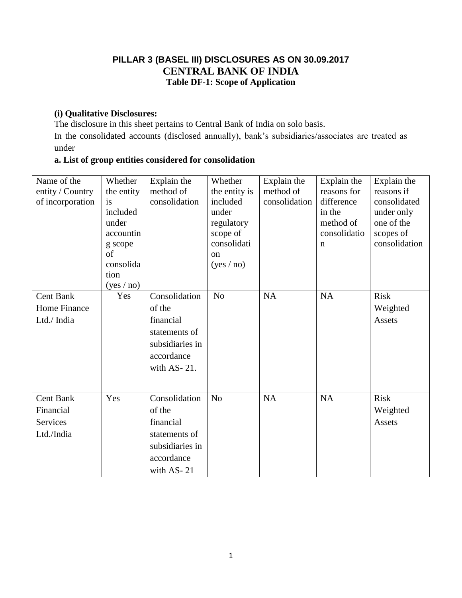### **PILLAR 3 (BASEL III) DISCLOSURES AS ON 30.09.2017 CENTRAL BANK OF INDIA Table DF-1: Scope of Application**

#### **(i) Qualitative Disclosures:**

The disclosure in this sheet pertains to Central Bank of India on solo basis.

In the consolidated accounts (disclosed annually), bank"s subsidiaries/associates are treated as under

### **a. List of group entities considered for consolidation**

| Name of the<br>entity / Country<br>of incorporation | Whether<br>the entity<br>is<br>included<br>under<br>accountin<br>g scope<br>of<br>consolida<br>tion<br>(yes / no) | Explain the<br>method of<br>consolidation | Whether<br>the entity is<br>included<br>under<br>regulatory<br>scope of<br>consolidati<br><sub>on</sub><br>(yes / no) | Explain the<br>method of<br>consolidation | Explain the<br>reasons for<br>difference<br>in the<br>method of<br>consolidatio<br>$\mathbf n$ | Explain the<br>reasons if<br>consolidated<br>under only<br>one of the<br>scopes of<br>consolidation |
|-----------------------------------------------------|-------------------------------------------------------------------------------------------------------------------|-------------------------------------------|-----------------------------------------------------------------------------------------------------------------------|-------------------------------------------|------------------------------------------------------------------------------------------------|-----------------------------------------------------------------------------------------------------|
| <b>Cent Bank</b>                                    | Yes                                                                                                               | Consolidation                             | N <sub>o</sub>                                                                                                        | NA                                        | <b>NA</b>                                                                                      | <b>Risk</b>                                                                                         |
| <b>Home Finance</b>                                 |                                                                                                                   | of the                                    |                                                                                                                       |                                           |                                                                                                | Weighted                                                                                            |
| Ltd./ India                                         |                                                                                                                   | financial                                 |                                                                                                                       |                                           |                                                                                                | <b>Assets</b>                                                                                       |
|                                                     |                                                                                                                   | statements of                             |                                                                                                                       |                                           |                                                                                                |                                                                                                     |
|                                                     |                                                                                                                   | subsidiaries in                           |                                                                                                                       |                                           |                                                                                                |                                                                                                     |
|                                                     |                                                                                                                   | accordance                                |                                                                                                                       |                                           |                                                                                                |                                                                                                     |
|                                                     |                                                                                                                   | with AS-21.                               |                                                                                                                       |                                           |                                                                                                |                                                                                                     |
|                                                     |                                                                                                                   |                                           |                                                                                                                       |                                           |                                                                                                |                                                                                                     |
| <b>Cent Bank</b>                                    | Yes                                                                                                               | Consolidation                             | N <sub>o</sub>                                                                                                        | <b>NA</b>                                 | <b>NA</b>                                                                                      | <b>Risk</b>                                                                                         |
| Financial                                           |                                                                                                                   | of the                                    |                                                                                                                       |                                           |                                                                                                | Weighted                                                                                            |
| Services                                            |                                                                                                                   | financial                                 |                                                                                                                       |                                           |                                                                                                | Assets                                                                                              |
| Ltd./India                                          |                                                                                                                   | statements of                             |                                                                                                                       |                                           |                                                                                                |                                                                                                     |
|                                                     |                                                                                                                   | subsidiaries in                           |                                                                                                                       |                                           |                                                                                                |                                                                                                     |
|                                                     |                                                                                                                   | accordance                                |                                                                                                                       |                                           |                                                                                                |                                                                                                     |
|                                                     |                                                                                                                   | with AS-21                                |                                                                                                                       |                                           |                                                                                                |                                                                                                     |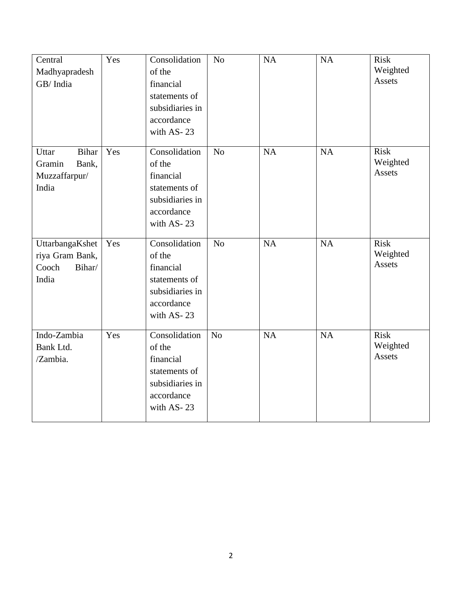| Central<br>Madhyapradesh<br>GB/India                               | Yes | Consolidation<br>of the<br>financial<br>statements of<br>subsidiaries in<br>accordance<br>with AS-23 | $\rm No$       | <b>NA</b> | NA        | <b>Risk</b><br>Weighted<br>Assets |
|--------------------------------------------------------------------|-----|------------------------------------------------------------------------------------------------------|----------------|-----------|-----------|-----------------------------------|
| <b>Bihar</b><br>Uttar<br>Gramin<br>Bank,<br>Muzzaffarpur/<br>India | Yes | Consolidation<br>of the<br>financial<br>statements of<br>subsidiaries in<br>accordance<br>with AS-23 | N <sub>o</sub> | <b>NA</b> | <b>NA</b> | <b>Risk</b><br>Weighted<br>Assets |
| UttarbangaKshet<br>riya Gram Bank,<br>Cooch<br>Bihar/<br>India     | Yes | Consolidation<br>of the<br>financial<br>statements of<br>subsidiaries in<br>accordance<br>with AS-23 | N <sub>o</sub> | NA        | <b>NA</b> | <b>Risk</b><br>Weighted<br>Assets |
| Indo-Zambia<br>Bank Ltd.<br>/Zambia.                               | Yes | Consolidation<br>of the<br>financial<br>statements of<br>subsidiaries in<br>accordance<br>with AS-23 | N <sub>o</sub> | NA        | NA        | <b>Risk</b><br>Weighted<br>Assets |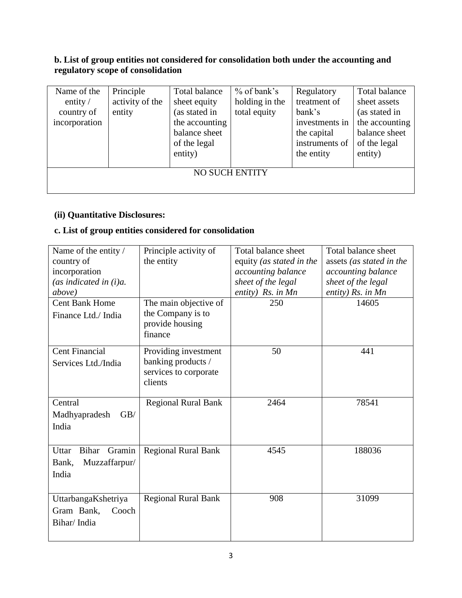#### **b. List of group entities not considered for consolidation both under the accounting and regulatory scope of consolidation**

| Name of the<br>entity $\sqrt{ }$<br>country of<br>incorporation | Principle<br>activity of the<br>entity | Total balance<br>sheet equity<br>(as stated in<br>the accounting<br>balance sheet<br>of the legal<br>entity) | $%$ of bank's<br>holding in the<br>total equity | Regulatory<br>treatment of<br>bank's<br>investments in<br>the capital<br>instruments of<br>the entity | Total balance<br>sheet assets<br>(as stated in<br>the accounting<br>balance sheet<br>of the legal<br>entity) |
|-----------------------------------------------------------------|----------------------------------------|--------------------------------------------------------------------------------------------------------------|-------------------------------------------------|-------------------------------------------------------------------------------------------------------|--------------------------------------------------------------------------------------------------------------|
|                                                                 |                                        |                                                                                                              | <b>NO SUCH ENTITY</b>                           |                                                                                                       |                                                                                                              |
|                                                                 |                                        |                                                                                                              |                                                 |                                                                                                       |                                                                                                              |

### **(ii) Quantitative Disclosures:**

# **c. List of group entities considered for consolidation**

| Name of the entity /            | Principle activity of                                  | Total balance sheet      | Total balance sheet      |
|---------------------------------|--------------------------------------------------------|--------------------------|--------------------------|
| country of                      | the entity                                             | equity (as stated in the | assets (as stated in the |
| incorporation                   |                                                        | accounting balance       | accounting balance       |
| (as indicated in $(i)a$ .       |                                                        | sheet of the legal       | sheet of the legal       |
| above)                          |                                                        | entity) Rs. in Mn        | entity) Rs. in Mn        |
| <b>Cent Bank Home</b>           | The main objective of                                  | 250                      | 14605                    |
| Finance Ltd./ India             | the Company is to<br>provide housing<br>finance        |                          |                          |
| <b>Cent Financial</b>           | Providing investment                                   | 50                       | 441                      |
| Services Ltd./India             | banking products /<br>services to corporate<br>clients |                          |                          |
| Central                         | <b>Regional Rural Bank</b>                             | 2464                     | 78541                    |
| GB/<br>Madhyapradesh            |                                                        |                          |                          |
| India                           |                                                        |                          |                          |
| Gramin<br><b>Bihar</b><br>Uttar | <b>Regional Rural Bank</b>                             | 4545                     | 188036                   |
| Muzzaffarpur/<br>Bank,          |                                                        |                          |                          |
| India                           |                                                        |                          |                          |
|                                 |                                                        |                          |                          |
|                                 |                                                        | 908                      | 31099                    |
| UttarbangaKshetriya             | <b>Regional Rural Bank</b>                             |                          |                          |
| Gram Bank,<br>Cooch             |                                                        |                          |                          |
| Bihar/India                     |                                                        |                          |                          |
|                                 |                                                        |                          |                          |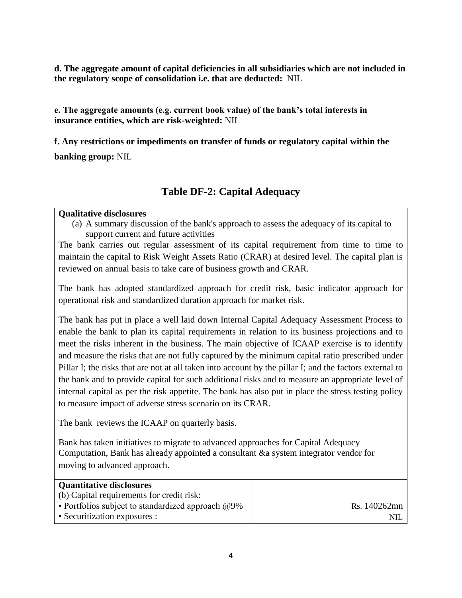**d. The aggregate amount of capital deficiencies in all subsidiaries which are not included in the regulatory scope of consolidation i.e. that are deducted:** NIL

**e. The aggregate amounts (e.g. current book value) of the bank's total interests in insurance entities, which are risk-weighted:** NIL

**f. Any restrictions or impediments on transfer of funds or regulatory capital within the banking group:** NIL

## **Table DF-2: Capital Adequacy**

#### **Qualitative disclosures**

(a) A summary discussion of the bank's approach to assess the adequacy of its capital to support current and future activities

The bank carries out regular assessment of its capital requirement from time to time to maintain the capital to Risk Weight Assets Ratio (CRAR) at desired level. The capital plan is reviewed on annual basis to take care of business growth and CRAR.

The bank has adopted standardized approach for credit risk, basic indicator approach for operational risk and standardized duration approach for market risk.

The bank has put in place a well laid down Internal Capital Adequacy Assessment Process to enable the bank to plan its capital requirements in relation to its business projections and to meet the risks inherent in the business. The main objective of ICAAP exercise is to identify and measure the risks that are not fully captured by the minimum capital ratio prescribed under Pillar I; the risks that are not at all taken into account by the pillar I; and the factors external to the bank and to provide capital for such additional risks and to measure an appropriate level of internal capital as per the risk appetite. The bank has also put in place the stress testing policy to measure impact of adverse stress scenario on its CRAR.

The bank reviews the ICAAP on quarterly basis.

Bank has taken initiatives to migrate to advanced approaches for Capital Adequacy Computation, Bank has already appointed a consultant &a system integrator vendor for moving to advanced approach.

| <b>Quantitative disclosures</b>                      |              |
|------------------------------------------------------|--------------|
| (b) Capital requirements for credit risk:            |              |
| • Portfolios subject to standardized approach $@9\%$ | Rs. 140262mn |
| • Securitization exposures :                         | NII          |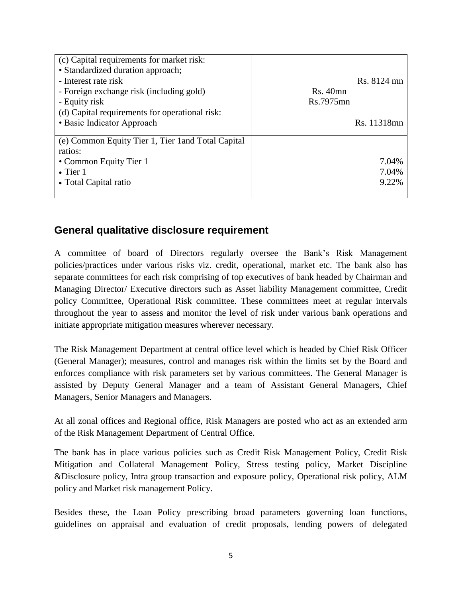| (c) Capital requirements for market risk:<br>• Standardized duration approach; |           |             |
|--------------------------------------------------------------------------------|-----------|-------------|
| - Interest rate risk                                                           |           | Rs. 8124 mn |
| - Foreign exchange risk (including gold)                                       | Rs.40mn   |             |
| - Equity risk                                                                  | Rs.7975mn |             |
| (d) Capital requirements for operational risk:                                 |           |             |
| • Basic Indicator Approach                                                     |           | Rs. 11318mn |
| (e) Common Equity Tier 1, Tier 1 and Total Capital<br>ratios:                  |           |             |
| • Common Equity Tier 1                                                         |           | 7.04%       |
| $\bullet$ Tier 1                                                               |           | 7.04%       |
| • Total Capital ratio                                                          |           | 9.22%       |
|                                                                                |           |             |

## **General qualitative disclosure requirement**

A committee of board of Directors regularly oversee the Bank"s Risk Management policies/practices under various risks viz. credit, operational, market etc. The bank also has separate committees for each risk comprising of top executives of bank headed by Chairman and Managing Director/ Executive directors such as Asset liability Management committee, Credit policy Committee, Operational Risk committee. These committees meet at regular intervals throughout the year to assess and monitor the level of risk under various bank operations and initiate appropriate mitigation measures wherever necessary.

The Risk Management Department at central office level which is headed by Chief Risk Officer (General Manager); measures, control and manages risk within the limits set by the Board and enforces compliance with risk parameters set by various committees. The General Manager is assisted by Deputy General Manager and a team of Assistant General Managers, Chief Managers, Senior Managers and Managers.

At all zonal offices and Regional office, Risk Managers are posted who act as an extended arm of the Risk Management Department of Central Office.

The bank has in place various policies such as Credit Risk Management Policy, Credit Risk Mitigation and Collateral Management Policy, Stress testing policy, Market Discipline &Disclosure policy, Intra group transaction and exposure policy, Operational risk policy, ALM policy and Market risk management Policy.

Besides these, the Loan Policy prescribing broad parameters governing loan functions, guidelines on appraisal and evaluation of credit proposals, lending powers of delegated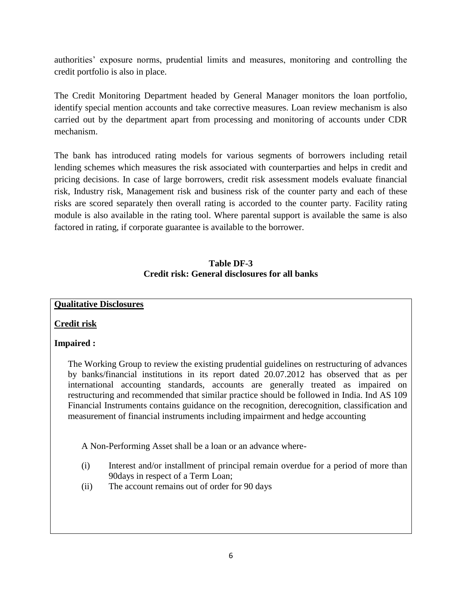authorities" exposure norms, prudential limits and measures, monitoring and controlling the credit portfolio is also in place.

The Credit Monitoring Department headed by General Manager monitors the loan portfolio, identify special mention accounts and take corrective measures. Loan review mechanism is also carried out by the department apart from processing and monitoring of accounts under CDR mechanism.

The bank has introduced rating models for various segments of borrowers including retail lending schemes which measures the risk associated with counterparties and helps in credit and pricing decisions. In case of large borrowers, credit risk assessment models evaluate financial risk, Industry risk, Management risk and business risk of the counter party and each of these risks are scored separately then overall rating is accorded to the counter party. Facility rating module is also available in the rating tool. Where parental support is available the same is also factored in rating, if corporate guarantee is available to the borrower.

#### **Table DF-3 Credit risk: General disclosures for all banks**

#### **Qualitative Disclosures**

#### **Credit risk**

#### **Impaired :**

The Working Group to review the existing prudential guidelines on restructuring of advances by banks/financial institutions in its report dated 20.07.2012 has observed that as per international accounting standards, accounts are generally treated as impaired on restructuring and recommended that similar practice should be followed in India. Ind AS 109 Financial Instruments contains guidance on the recognition, derecognition, classification and measurement of financial instruments including impairment and hedge accounting

A Non-Performing Asset shall be a loan or an advance where-

- (i) Interest and/or installment of principal remain overdue for a period of more than 90days in respect of a Term Loan;
- (ii) The account remains out of order for 90 days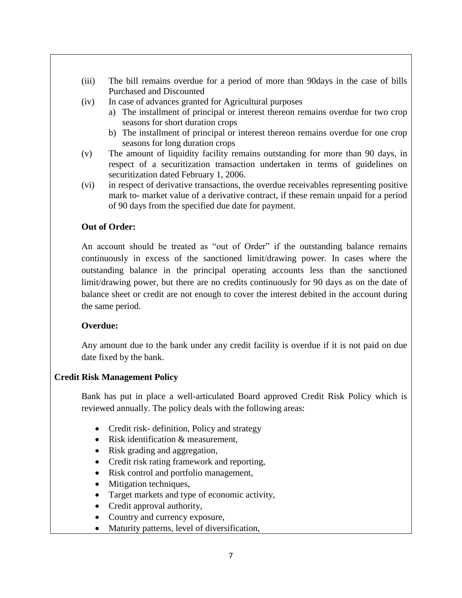- (iii) The bill remains overdue for a period of more than 90days in the case of bills Purchased and Discounted
- (iv) In case of advances granted for Agricultural purposes
	- a) The installment of principal or interest thereon remains overdue for two crop seasons for short duration crops
	- b) The installment of principal or interest thereon remains overdue for one crop seasons for long duration crops
- (v) The amount of liquidity facility remains outstanding for more than 90 days, in respect of a securitization transaction undertaken in terms of guidelines on securitization dated February 1, 2006.
- (vi) in respect of derivative transactions, the overdue receivables representing positive mark to- market value of a derivative contract, if these remain unpaid for a period of 90 days from the specified due date for payment.

#### **Out of Order:**

 An account should be treated as "out of Order" if the outstanding balance remains continuously in excess of the sanctioned limit/drawing power. In cases where the outstanding balance in the principal operating accounts less than the sanctioned limit/drawing power, but there are no credits continuously for 90 days as on the date of balance sheet or credit are not enough to cover the interest debited in the account during the same period.

#### **Overdue:**

Any amount due to the bank under any credit facility is overdue if it is not paid on due date fixed by the bank.

#### **Credit Risk Management Policy**

Bank has put in place a well-articulated Board approved Credit Risk Policy which is reviewed annually. The policy deals with the following areas:

- Credit risk- definition, Policy and strategy
- Risk identification & measurement,
- Risk grading and aggregation,
- Credit risk rating framework and reporting,
- Risk control and portfolio management,
- Mitigation techniques,
- Target markets and type of economic activity,
- Credit approval authority,
- Country and currency exposure,
- Maturity patterns, level of diversification,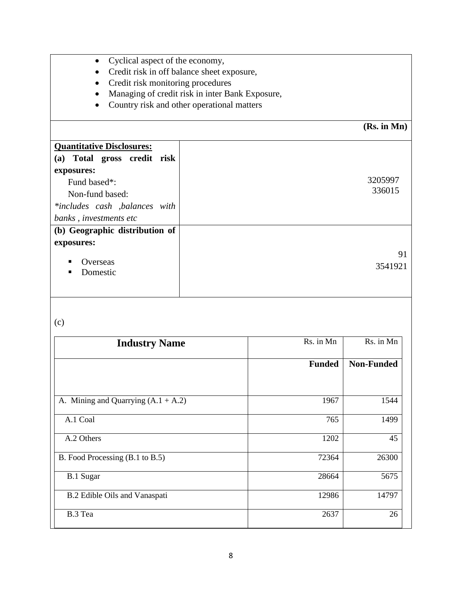| Cyclical aspect of the economy,<br>$\bullet$ |
|----------------------------------------------|
|----------------------------------------------|

- Credit risk in off balance sheet exposure,
- Credit risk monitoring procedures
- Managing of credit risk in inter Bank Exposure,
- Country risk and other operational matters

## **(Rs. in Mn)**

| <b>Quantitative Disclosures:</b> |         |
|----------------------------------|---------|
| (a) Total gross credit risk      |         |
| exposures:                       |         |
| Fund based*:                     | 3205997 |
| Non-fund based:                  | 336015  |
| *includes cash ,balances with    |         |
| banks, investments etc           |         |
| (b) Geographic distribution of   |         |
| exposures:                       |         |
|                                  | 91      |
| Overseas<br>٠                    | 3541921 |
| Domestic<br>п                    |         |
|                                  |         |
|                                  |         |

## (c)

| <b>Industry Name</b>                  | Rs. in Mn     | Rs. in Mn         |
|---------------------------------------|---------------|-------------------|
|                                       | <b>Funded</b> | <b>Non-Funded</b> |
|                                       |               |                   |
| A. Mining and Quarrying $(A.1 + A.2)$ | 1967          | 1544              |
| A.1 Coal                              | 765           | 1499              |
| A.2 Others                            | 1202          | 45                |
| B. Food Processing (B.1 to B.5)       | 72364         | 26300             |
| <b>B.1 Sugar</b>                      | 28664         | 5675              |
| B.2 Edible Oils and Vanaspati         | 12986         | 14797             |
| B.3 Tea                               | 2637          | 26                |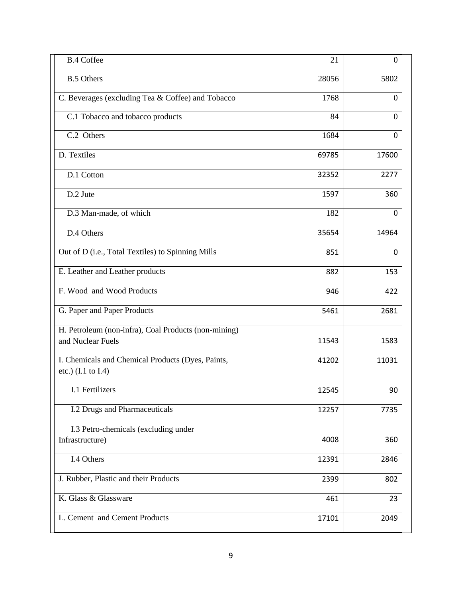| <b>B.4 Coffee</b>                                                                  | 21    | $\overline{0}$ |
|------------------------------------------------------------------------------------|-------|----------------|
| <b>B.5 Others</b>                                                                  | 28056 | 5802           |
| C. Beverages (excluding Tea & Coffee) and Tobacco                                  | 1768  | $\Omega$       |
| C.1 Tobacco and tobacco products                                                   | 84    | $\theta$       |
| C.2 Others                                                                         | 1684  | $\theta$       |
| D. Textiles                                                                        | 69785 | 17600          |
| D.1 Cotton                                                                         | 32352 | 2277           |
| D.2 Jute                                                                           | 1597  | 360            |
| D.3 Man-made, of which                                                             | 182   | $\Omega$       |
| D.4 Others                                                                         | 35654 | 14964          |
| Out of D (i.e., Total Textiles) to Spinning Mills                                  | 851   | $\Omega$       |
| E. Leather and Leather products                                                    | 882   | 153            |
| F. Wood and Wood Products                                                          | 946   | 422            |
| G. Paper and Paper Products                                                        | 5461  | 2681           |
| H. Petroleum (non-infra), Coal Products (non-mining)<br>and Nuclear Fuels          | 11543 | 1583           |
| I. Chemicals and Chemical Products (Dyes, Paints,<br>etc.) $(I.1 \text{ to } I.4)$ | 41202 | 11031          |
| I.1 Fertilizers                                                                    | 12545 | 90             |
| I.2 Drugs and Pharmaceuticals                                                      | 12257 | 7735           |
| I.3 Petro-chemicals (excluding under<br>Infrastructure)                            | 4008  | 360            |
| I.4 Others                                                                         | 12391 | 2846           |
| J. Rubber, Plastic and their Products                                              | 2399  | 802            |
| K. Glass & Glassware                                                               | 461   | 23             |
| L. Cement and Cement Products                                                      | 17101 | 2049           |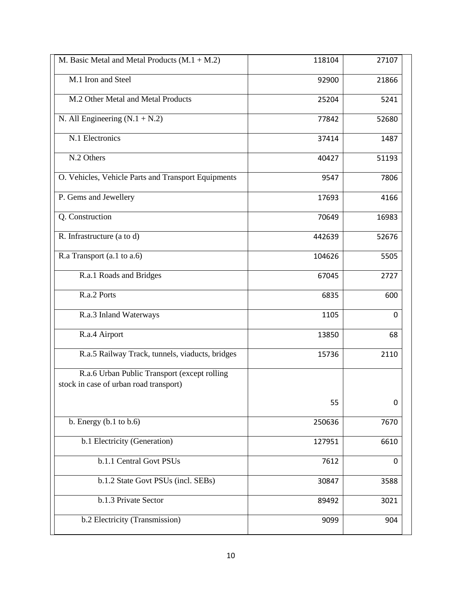| M. Basic Metal and Metal Products $(M.1 + M.2)$     | 118104 | 27107    |
|-----------------------------------------------------|--------|----------|
| M.1 Iron and Steel                                  | 92900  | 21866    |
| M.2 Other Metal and Metal Products                  | 25204  | 5241     |
| N. All Engineering $(N.1 + N.2)$                    | 77842  | 52680    |
| N.1 Electronics                                     | 37414  | 1487     |
| N.2 Others                                          | 40427  | 51193    |
| O. Vehicles, Vehicle Parts and Transport Equipments | 9547   | 7806     |
| P. Gems and Jewellery                               | 17693  | 4166     |
| Q. Construction                                     | 70649  | 16983    |
| R. Infrastructure (a to d)                          | 442639 | 52676    |
| R.a Transport (a.1 to a.6)                          | 104626 | 5505     |
| R.a.1 Roads and Bridges                             | 67045  | 2727     |
| R.a.2 Ports                                         | 6835   | 600      |
| R.a.3 Inland Waterways                              | 1105   | 0        |
| R.a.4 Airport                                       | 13850  | 68       |
| R.a.5 Railway Track, tunnels, viaducts, bridges     | 15736  | 2110     |
| R.a.6 Urban Public Transport (except rolling        |        |          |
| stock in case of urban road transport)              |        |          |
|                                                     | 55     | $\Omega$ |
| b. Energy $(b.1$ to $b.6)$                          | 250636 | 7670     |
| b.1 Electricity (Generation)                        | 127951 | 6610     |
| b.1.1 Central Govt PSUs                             | 7612   | 0        |
| b.1.2 State Govt PSUs (incl. SEBs)                  | 30847  | 3588     |
| b.1.3 Private Sector                                | 89492  | 3021     |
| b.2 Electricity (Transmission)                      | 9099   | 904      |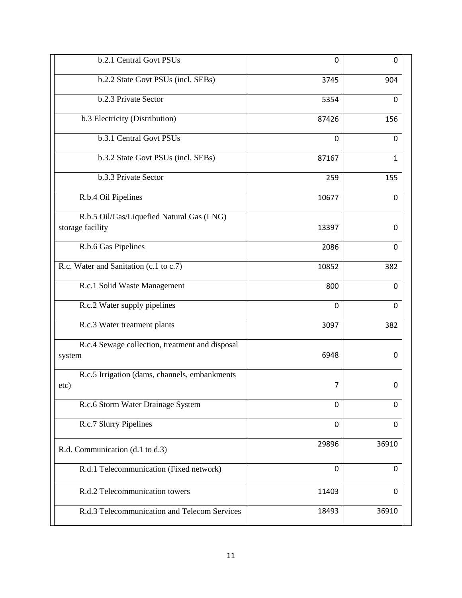| b.2.1 Central Govt PSUs                                   | 0     | $\Omega$ |
|-----------------------------------------------------------|-------|----------|
| b.2.2 State Govt PSUs (incl. SEBs)                        | 3745  | 904      |
| b.2.3 Private Sector                                      | 5354  | 0        |
| b.3 Electricity (Distribution)                            | 87426 | 156      |
| b.3.1 Central Govt PSUs                                   | 0     | 0        |
| b.3.2 State Govt PSUs (incl. SEBs)                        | 87167 | 1        |
| b.3.3 Private Sector                                      | 259   | 155      |
| R.b.4 Oil Pipelines                                       | 10677 | 0        |
| R.b.5 Oil/Gas/Liquefied Natural Gas (LNG)                 |       |          |
| storage facility                                          | 13397 | 0        |
| R.b.6 Gas Pipelines                                       | 2086  | 0        |
| R.c. Water and Sanitation (c.1 to c.7)                    | 10852 | 382      |
| R.c.1 Solid Waste Management                              | 800   | 0        |
| R.c.2 Water supply pipelines                              | 0     | 0        |
| R.c.3 Water treatment plants                              | 3097  | 382      |
| R.c.4 Sewage collection, treatment and disposal<br>system | 6948  | 0        |
| R.c.5 Irrigation (dams, channels, embankments<br>etc)     | 7     | 0        |
| R.c.6 Storm Water Drainage System                         | 0     | 0        |
| R.c.7 Slurry Pipelines                                    | 0     | 0        |
| R.d. Communication (d.1 to d.3)                           | 29896 | 36910    |
| R.d.1 Telecommunication (Fixed network)                   | 0     | 0        |
| R.d.2 Telecommunication towers                            | 11403 | 0        |
| R.d.3 Telecommunication and Telecom Services              | 18493 | 36910    |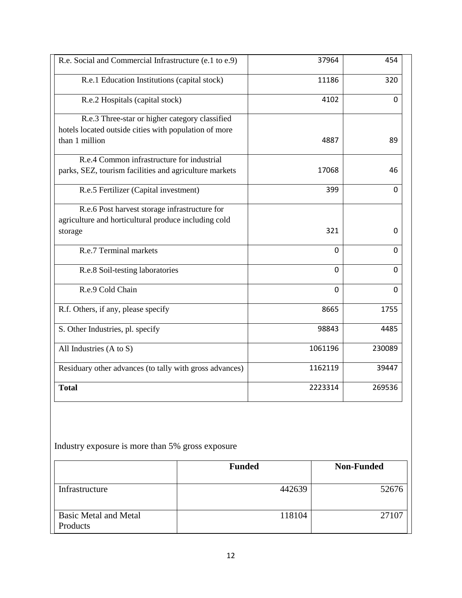| R.e. Social and Commercial Infrastructure (e.1 to e.9)  | 37964    | 454    |
|---------------------------------------------------------|----------|--------|
| R.e.1 Education Institutions (capital stock)            | 11186    | 320    |
| R.e.2 Hospitals (capital stock)                         | 4102     | 0      |
| R.e.3 Three-star or higher category classified          |          |        |
| hotels located outside cities with population of more   |          |        |
| than 1 million                                          | 4887     | 89     |
| R.e.4 Common infrastructure for industrial              |          |        |
| parks, SEZ, tourism facilities and agriculture markets  | 17068    | 46     |
| R.e.5 Fertilizer (Capital investment)                   | 399      | 0      |
| R.e.6 Post harvest storage infrastructure for           |          |        |
| agriculture and horticultural produce including cold    |          |        |
| storage                                                 | 321      | 0      |
| R.e.7 Terminal markets                                  | 0        | 0      |
| R.e.8 Soil-testing laboratories                         | $\Omega$ | 0      |
| R.e.9 Cold Chain                                        | $\Omega$ | 0      |
| R.f. Others, if any, please specify                     | 8665     | 1755   |
| S. Other Industries, pl. specify                        | 98843    | 4485   |
| All Industries (A to S)                                 | 1061196  | 230089 |
| Residuary other advances (to tally with gross advances) | 1162119  | 39447  |
| <b>Total</b>                                            | 2223314  | 269536 |
|                                                         |          |        |

Industry exposure is more than 5% gross exposure

|                                   | <b>Funded</b> | <b>Non-Funded</b> |
|-----------------------------------|---------------|-------------------|
| Infrastructure                    | 442639        | 52676             |
| Basic Metal and Metal<br>Products | 118104        | 27107             |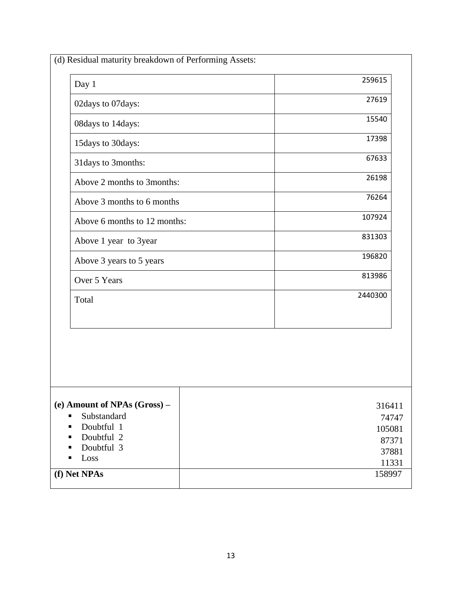| 02days to 07days:                                                                                                      | 27619                                                |
|------------------------------------------------------------------------------------------------------------------------|------------------------------------------------------|
| 08days to 14days:                                                                                                      | 15540                                                |
| 15days to 30days:                                                                                                      | 17398                                                |
| 31 days to 3 months:                                                                                                   | 67633                                                |
| Above 2 months to 3months:                                                                                             | 26198                                                |
| Above 3 months to 6 months                                                                                             | 76264                                                |
| Above 6 months to 12 months:                                                                                           | 107924                                               |
| Above 1 year to 3year                                                                                                  | 831303                                               |
| Above 3 years to 5 years                                                                                               | 196820                                               |
| Over 5 Years                                                                                                           | 813986                                               |
| Total                                                                                                                  | 2440300                                              |
|                                                                                                                        |                                                      |
| (e) Amount of NPAs (Gross) -<br>Substandard<br>٠<br>Doubtful 1<br>п<br>Doubtful 2<br>п<br>Doubtful 3<br>п<br>Loss<br>п | 316411<br>74747<br>105081<br>87371<br>37881<br>11331 |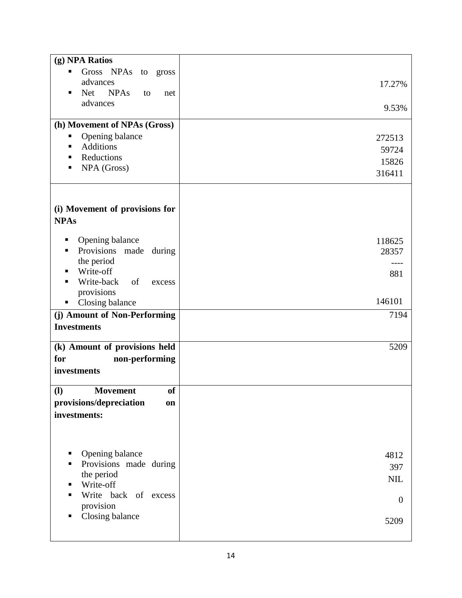| (g) NPA Ratios                               |                |
|----------------------------------------------|----------------|
| Gross NPAs<br>to gross<br>٠                  |                |
| advances                                     | 17.27%         |
| <b>NPAs</b><br>Net<br>٠<br>to<br>net         |                |
| advances                                     | 9.53%          |
| (h) Movement of NPAs (Gross)                 |                |
| Opening balance<br>Е                         | 272513         |
| <b>Additions</b><br>٠                        | 59724          |
| Reductions<br>٠                              | 15826          |
| NPA (Gross)                                  | 316411         |
|                                              |                |
| (i) Movement of provisions for               |                |
| <b>NPAs</b>                                  |                |
|                                              |                |
| Opening balance                              | 118625         |
| Provisions made during                       | 28357          |
| the period<br>Write-off<br>п                 |                |
| Write-back<br>of<br>excess<br>Ξ              | 881            |
| provisions                                   |                |
| Closing balance<br>п                         | 146101         |
| (j) Amount of Non-Performing                 | 7194           |
| <b>Investments</b>                           |                |
| (k) Amount of provisions held                | 5209           |
| non-performing<br>for                        |                |
| investments                                  |                |
|                                              |                |
| <b>of</b><br>$\mathbf{I}$<br><b>Movement</b> |                |
| provisions/depreciation<br>on                |                |
| investments:                                 |                |
|                                              |                |
|                                              |                |
| Opening balance<br>٠                         | 4812           |
| Provisions made during<br>п                  | 397            |
| the period                                   | $\text{NIL}$   |
| Write-off<br>Write back of excess<br>п       |                |
| provision                                    | $\overline{0}$ |
| Closing balance<br>п                         |                |
|                                              | 5209           |
|                                              |                |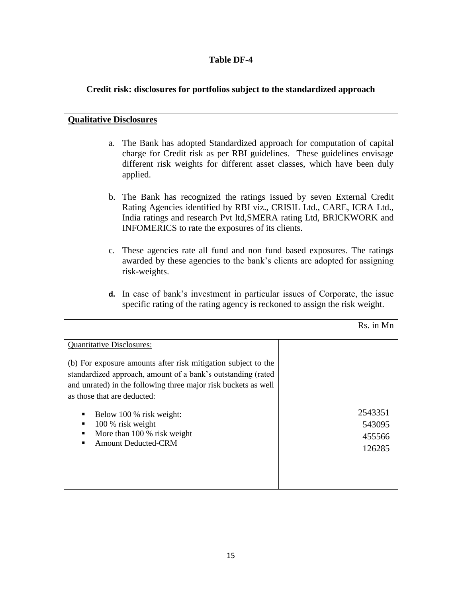## **Table DF-4**

# **Credit risk: disclosures for portfolios subject to the standardized approach**

| <b>Qualitative Disclosures</b>                        |                                                                                                                                                                                                                                                                            |           |  |
|-------------------------------------------------------|----------------------------------------------------------------------------------------------------------------------------------------------------------------------------------------------------------------------------------------------------------------------------|-----------|--|
| a.                                                    | The Bank has adopted Standardized approach for computation of capital<br>charge for Credit risk as per RBI guidelines. These guidelines envisage<br>different risk weights for different asset classes, which have been duly<br>applied.                                   |           |  |
|                                                       | b. The Bank has recognized the ratings issued by seven External Credit<br>Rating Agencies identified by RBI viz., CRISIL Ltd., CARE, ICRA Ltd.,<br>India ratings and research Pvt ltd, SMERA rating Ltd, BRICKWORK and<br>INFOMERICS to rate the exposures of its clients. |           |  |
|                                                       | c. These agencies rate all fund and non fund based exposures. The ratings<br>awarded by these agencies to the bank's clients are adopted for assigning<br>risk-weights.                                                                                                    |           |  |
|                                                       | <b>d.</b> In case of bank's investment in particular issues of Corporate, the issue<br>specific rating of the rating agency is reckoned to assign the risk weight.                                                                                                         |           |  |
|                                                       |                                                                                                                                                                                                                                                                            | Rs. in Mn |  |
| <b>Quantitative Disclosures:</b>                      |                                                                                                                                                                                                                                                                            |           |  |
|                                                       | (b) For exposure amounts after risk mitigation subject to the                                                                                                                                                                                                              |           |  |
|                                                       | standardized approach, amount of a bank's outstanding (rated                                                                                                                                                                                                               |           |  |
|                                                       | and unrated) in the following three major risk buckets as well                                                                                                                                                                                                             |           |  |
| as those that are deducted:                           |                                                                                                                                                                                                                                                                            |           |  |
| 2543351<br>Below 100 % risk weight:<br>$\blacksquare$ |                                                                                                                                                                                                                                                                            |           |  |
| 100 % risk weight<br>543095<br>٠                      |                                                                                                                                                                                                                                                                            |           |  |
| ٠                                                     | More than 100 % risk weight                                                                                                                                                                                                                                                | 455566    |  |
| п                                                     | <b>Amount Deducted-CRM</b>                                                                                                                                                                                                                                                 | 126285    |  |
|                                                       |                                                                                                                                                                                                                                                                            |           |  |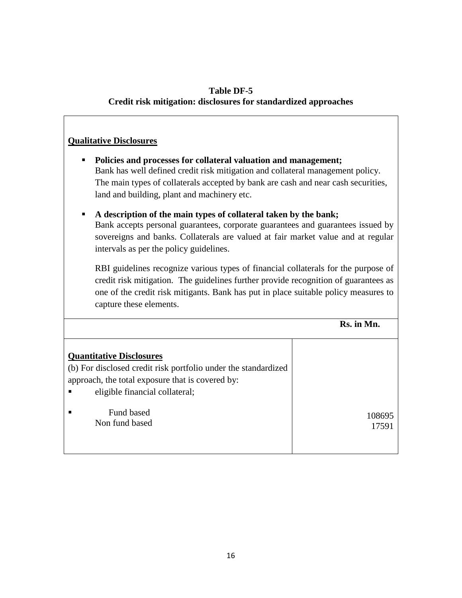#### **Table DF-5**

#### **Credit risk mitigation: disclosures for standardized approaches**

#### **Qualitative Disclosures**

- **Policies and processes for collateral valuation and management;** Bank has well defined credit risk mitigation and collateral management policy. The main types of collaterals accepted by bank are cash and near cash securities, land and building, plant and machinery etc.
- **A description of the main types of collateral taken by the bank;** Bank accepts personal guarantees, corporate guarantees and guarantees issued by sovereigns and banks. Collaterals are valued at fair market value and at regular intervals as per the policy guidelines.

RBI guidelines recognize various types of financial collaterals for the purpose of credit risk mitigation. The guidelines further provide recognition of guarantees as one of the credit risk mitigants. Bank has put in place suitable policy measures to capture these elements.

 **Rs. in Mn.**

| <b>Quantitative Disclosures</b><br>(b) For disclosed credit risk portfolio under the standardized<br>approach, the total exposure that is covered by:<br>eligible financial collateral; |        |
|-----------------------------------------------------------------------------------------------------------------------------------------------------------------------------------------|--------|
| Fund based                                                                                                                                                                              | 108695 |
| Non fund based                                                                                                                                                                          | 17591  |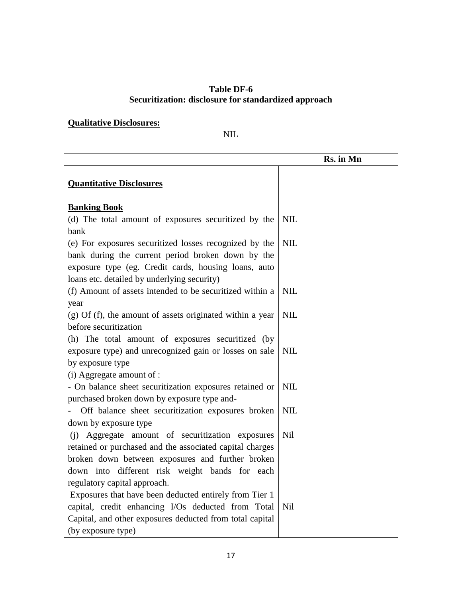| Table DF-6                                           |  |  |  |
|------------------------------------------------------|--|--|--|
| Securitization: disclosure for standardized approach |  |  |  |

٦

 $\mathbf{r}$ 

| <b>Qualitative Disclosures:</b><br><b>NIL</b>                                                                                                            |            |  |  |
|----------------------------------------------------------------------------------------------------------------------------------------------------------|------------|--|--|
|                                                                                                                                                          | Rs. in Mn  |  |  |
| <b>Quantitative Disclosures</b>                                                                                                                          |            |  |  |
| <b>Banking Book</b>                                                                                                                                      |            |  |  |
| (d) The total amount of exposures securitized by the<br>bank                                                                                             | <b>NIL</b> |  |  |
| (e) For exposures securitized losses recognized by the                                                                                                   | <b>NIL</b> |  |  |
| bank during the current period broken down by the<br>exposure type (eg. Credit cards, housing loans, auto<br>loans etc. detailed by underlying security) |            |  |  |
| (f) Amount of assets intended to be securitized within a                                                                                                 | <b>NIL</b> |  |  |
| year<br>$(g)$ Of (f), the amount of assets originated within a year                                                                                      | <b>NIL</b> |  |  |
| before securitization                                                                                                                                    |            |  |  |
| (h) The total amount of exposures securitized (by                                                                                                        |            |  |  |
| exposure type) and unrecognized gain or losses on sale<br>by exposure type                                                                               | <b>NIL</b> |  |  |
| (i) Aggregate amount of :                                                                                                                                |            |  |  |
| - On balance sheet securitization exposures retained or                                                                                                  | <b>NIL</b> |  |  |
| purchased broken down by exposure type and-                                                                                                              |            |  |  |
| Off balance sheet securitization exposures broken                                                                                                        | <b>NIL</b> |  |  |
| down by exposure type                                                                                                                                    |            |  |  |
| (i) Aggregate amount of securitization exposures                                                                                                         | Nil        |  |  |
| retained or purchased and the associated capital charges                                                                                                 |            |  |  |
| broken down between exposures and further broken                                                                                                         |            |  |  |
| down into different risk weight bands for each                                                                                                           |            |  |  |
| regulatory capital approach.                                                                                                                             |            |  |  |
| Exposures that have been deducted entirely from Tier 1                                                                                                   |            |  |  |
| capital, credit enhancing I/Os deducted from Total<br>Capital, and other exposures deducted from total capital                                           | Nil        |  |  |
| (by exposure type)                                                                                                                                       |            |  |  |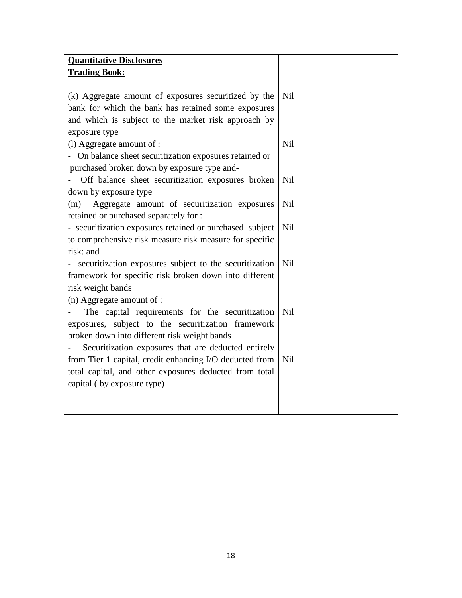| <b>Quantitative Disclosures</b><br><b>Trading Book:</b>  |            |
|----------------------------------------------------------|------------|
|                                                          |            |
| (k) Aggregate amount of exposures securitized by the     | Nil        |
| bank for which the bank has retained some exposures      |            |
| and which is subject to the market risk approach by      |            |
| exposure type                                            |            |
| (l) Aggregate amount of :                                | <b>Nil</b> |
| - On balance sheet securitization exposures retained or  |            |
| purchased broken down by exposure type and-              |            |
| Off balance sheet securitization exposures broken        | Nil        |
| down by exposure type                                    |            |
| Aggregate amount of securitization exposures<br>(m)      | Nil        |
| retained or purchased separately for :                   |            |
| - securitization exposures retained or purchased subject | <b>Nil</b> |
| to comprehensive risk measure risk measure for specific  |            |
| risk: and                                                |            |
| securitization exposures subject to the securitization   | <b>Nil</b> |
| framework for specific risk broken down into different   |            |
| risk weight bands                                        |            |
| $(n)$ Aggregate amount of :                              |            |
| The capital requirements for the securitization          | Nil        |
| exposures, subject to the securitization framework       |            |
| broken down into different risk weight bands             |            |
| Securitization exposures that are deducted entirely      |            |
| from Tier 1 capital, credit enhancing I/O deducted from  | Nil        |
| total capital, and other exposures deducted from total   |            |
| capital (by exposure type)                               |            |
|                                                          |            |
|                                                          |            |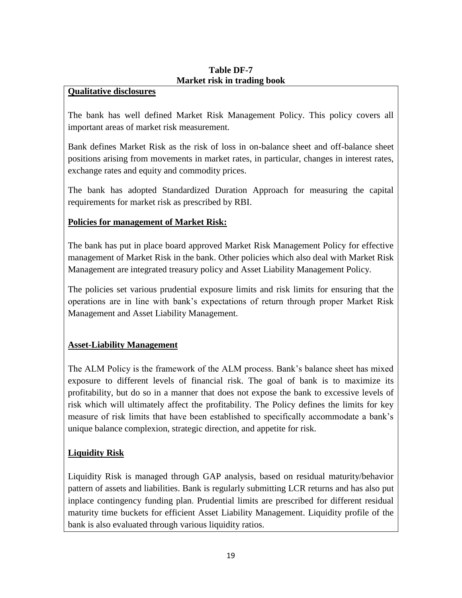#### **Table DF-7 Market risk in trading book**

#### **Qualitative disclosures**

The bank has well defined Market Risk Management Policy. This policy covers all important areas of market risk measurement.

Bank defines Market Risk as the risk of loss in on-balance sheet and off-balance sheet positions arising from movements in market rates, in particular, changes in interest rates, exchange rates and equity and commodity prices.

The bank has adopted Standardized Duration Approach for measuring the capital requirements for market risk as prescribed by RBI.

#### **Policies for management of Market Risk:**

The bank has put in place board approved Market Risk Management Policy for effective management of Market Risk in the bank. Other policies which also deal with Market Risk Management are integrated treasury policy and Asset Liability Management Policy.

The policies set various prudential exposure limits and risk limits for ensuring that the operations are in line with bank"s expectations of return through proper Market Risk Management and Asset Liability Management.

#### **Asset-Liability Management**

The ALM Policy is the framework of the ALM process. Bank"s balance sheet has mixed exposure to different levels of financial risk. The goal of bank is to maximize its profitability, but do so in a manner that does not expose the bank to excessive levels of risk which will ultimately affect the profitability. The Policy defines the limits for key measure of risk limits that have been established to specifically accommodate a bank"s unique balance complexion, strategic direction, and appetite for risk.

#### **Liquidity Risk**

Liquidity Risk is managed through GAP analysis, based on residual maturity/behavior pattern of assets and liabilities. Bank is regularly submitting LCR returns and has also put inplace contingency funding plan. Prudential limits are prescribed for different residual maturity time buckets for efficient Asset Liability Management. Liquidity profile of the bank is also evaluated through various liquidity ratios.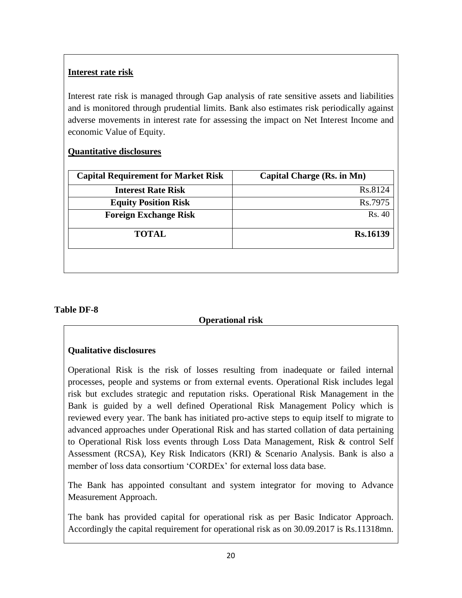## **Interest rate risk**

Interest rate risk is managed through Gap analysis of rate sensitive assets and liabilities and is monitored through prudential limits. Bank also estimates risk periodically against adverse movements in interest rate for assessing the impact on Net Interest Income and economic Value of Equity.

### **Quantitative disclosures**

| <b>Capital Requirement for Market Risk</b> | <b>Capital Charge (Rs. in Mn)</b> |
|--------------------------------------------|-----------------------------------|
| <b>Interest Rate Risk</b>                  | Rs.8124                           |
| <b>Equity Position Risk</b>                | Rs.7975                           |
| <b>Foreign Exchange Risk</b>               | Rs. 40                            |
| <b>TOTAL</b>                               | <b>Rs.16139</b>                   |
|                                            |                                   |
|                                            |                                   |

#### **Table DF-8**

#### **Operational risk**

### **Qualitative disclosures**

Operational Risk is the risk of losses resulting from inadequate or failed internal processes, people and systems or from external events. Operational Risk includes legal risk but excludes strategic and reputation risks. Operational Risk Management in the Bank is guided by a well defined Operational Risk Management Policy which is reviewed every year. The bank has initiated pro-active steps to equip itself to migrate to advanced approaches under Operational Risk and has started collation of data pertaining to Operational Risk loss events through Loss Data Management, Risk & control Self Assessment (RCSA), Key Risk Indicators (KRI) & Scenario Analysis. Bank is also a member of loss data consortium 'CORDEx' for external loss data base.

The Bank has appointed consultant and system integrator for moving to Advance Measurement Approach.

The bank has provided capital for operational risk as per Basic Indicator Approach. Accordingly the capital requirement for operational risk as on 30.09.2017 is Rs.11318mn.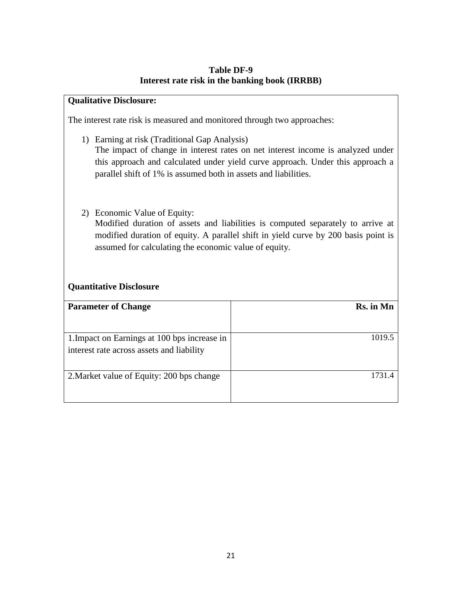#### **Table DF-9 Interest rate risk in the banking book (IRRBB)**

#### **Qualitative Disclosure:**

The interest rate risk is measured and monitored through two approaches:

- 1) Earning at risk (Traditional Gap Analysis) The impact of change in interest rates on net interest income is analyzed under this approach and calculated under yield curve approach. Under this approach a parallel shift of 1% is assumed both in assets and liabilities.
- 2) Economic Value of Equity: Modified duration of assets and liabilities is computed separately to arrive at modified duration of equity. A parallel shift in yield curve by 200 basis point is assumed for calculating the economic value of equity.

### **Quantitative Disclosure**

| <b>Parameter of Change</b>                                                                | Rs. in Mn |
|-------------------------------------------------------------------------------------------|-----------|
| 1. Impact on Earnings at 100 bps increase in<br>interest rate across assets and liability | 1019.5    |
| 2. Market value of Equity: 200 bps change                                                 | 1731 4    |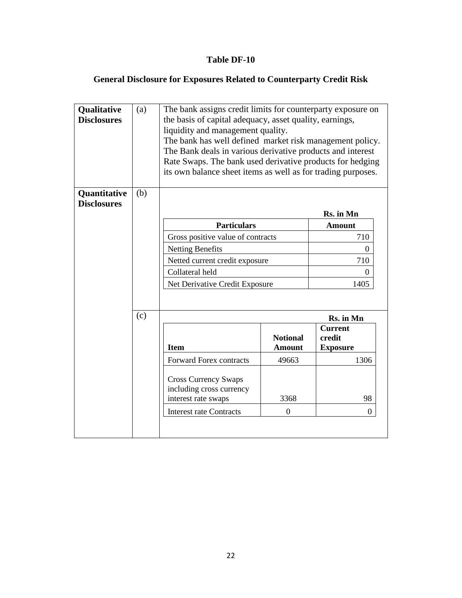## **Table DF-10**

# **General Disclosure for Exposures Related to Counterparty Credit Risk**

| Qualitative<br><b>Disclosures</b><br>Quantitative | (a)<br>(b) | The bank assigns credit limits for counterparty exposure on<br>the basis of capital adequacy, asset quality, earnings,<br>liquidity and management quality.<br>The bank has well defined market risk management policy.<br>The Bank deals in various derivative products and interest<br>Rate Swaps. The bank used derivative products for hedging<br>its own balance sheet items as well as for trading purposes. |                                  |                                             |  |
|---------------------------------------------------|------------|--------------------------------------------------------------------------------------------------------------------------------------------------------------------------------------------------------------------------------------------------------------------------------------------------------------------------------------------------------------------------------------------------------------------|----------------------------------|---------------------------------------------|--|
| <b>Disclosures</b>                                |            |                                                                                                                                                                                                                                                                                                                                                                                                                    |                                  | Rs. in Mn                                   |  |
|                                                   |            | <b>Particulars</b>                                                                                                                                                                                                                                                                                                                                                                                                 |                                  |                                             |  |
|                                                   |            |                                                                                                                                                                                                                                                                                                                                                                                                                    |                                  | <b>Amount</b><br>710                        |  |
|                                                   |            | Gross positive value of contracts                                                                                                                                                                                                                                                                                                                                                                                  |                                  | $\Omega$                                    |  |
|                                                   |            | <b>Netting Benefits</b>                                                                                                                                                                                                                                                                                                                                                                                            |                                  |                                             |  |
|                                                   |            | Netted current credit exposure                                                                                                                                                                                                                                                                                                                                                                                     |                                  | 710                                         |  |
|                                                   |            | Collateral held<br>$\theta$                                                                                                                                                                                                                                                                                                                                                                                        |                                  |                                             |  |
|                                                   |            | Net Derivative Credit Exposure<br>1405                                                                                                                                                                                                                                                                                                                                                                             |                                  |                                             |  |
|                                                   | (c)        |                                                                                                                                                                                                                                                                                                                                                                                                                    |                                  | Rs. in Mn                                   |  |
|                                                   |            | <b>Item</b>                                                                                                                                                                                                                                                                                                                                                                                                        | <b>Notional</b><br><b>Amount</b> | <b>Current</b><br>credit<br><b>Exposure</b> |  |
|                                                   |            | <b>Forward Forex contracts</b>                                                                                                                                                                                                                                                                                                                                                                                     | 49663                            | 1306                                        |  |
|                                                   |            | <b>Cross Currency Swaps</b><br>including cross currency<br>interest rate swaps<br><b>Interest rate Contracts</b>                                                                                                                                                                                                                                                                                                   | 3368<br>$\overline{0}$           | 98<br>$\boldsymbol{0}$                      |  |
|                                                   |            |                                                                                                                                                                                                                                                                                                                                                                                                                    |                                  |                                             |  |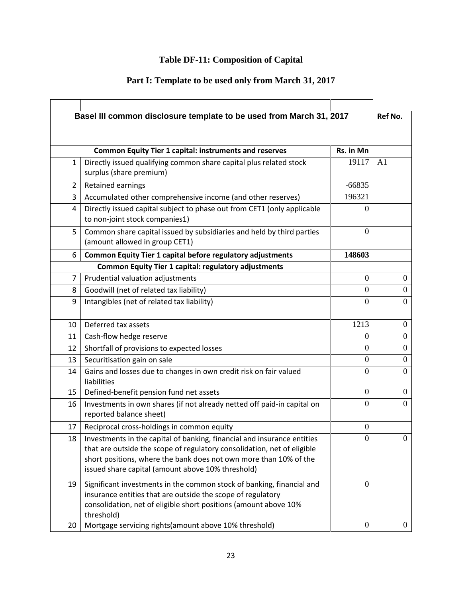# **Table DF-11: Composition of Capital**

# **Part I: Template to be used only from March 31, 2017**

|                | Basel III common disclosure template to be used from March 31, 2017                                                                                                                                                                                                          |                  | Ref No.          |
|----------------|------------------------------------------------------------------------------------------------------------------------------------------------------------------------------------------------------------------------------------------------------------------------------|------------------|------------------|
|                |                                                                                                                                                                                                                                                                              |                  |                  |
|                | <b>Common Equity Tier 1 capital: instruments and reserves</b>                                                                                                                                                                                                                | Rs. in Mn        |                  |
| 1              | Directly issued qualifying common share capital plus related stock<br>surplus (share premium)                                                                                                                                                                                | 19117            | A <sub>1</sub>   |
| $\overline{2}$ | Retained earnings                                                                                                                                                                                                                                                            | $-66835$         |                  |
| 3              | Accumulated other comprehensive income (and other reserves)                                                                                                                                                                                                                  | 196321           |                  |
| 4              | Directly issued capital subject to phase out from CET1 (only applicable<br>to non-joint stock companies1)                                                                                                                                                                    | $\theta$         |                  |
| 5              | Common share capital issued by subsidiaries and held by third parties<br>(amount allowed in group CET1)                                                                                                                                                                      | $\theta$         |                  |
| 6              | Common Equity Tier 1 capital before regulatory adjustments                                                                                                                                                                                                                   | 148603           |                  |
|                | <b>Common Equity Tier 1 capital: regulatory adjustments</b>                                                                                                                                                                                                                  |                  |                  |
| $\overline{7}$ | Prudential valuation adjustments                                                                                                                                                                                                                                             | $\overline{0}$   | $\boldsymbol{0}$ |
| 8              | Goodwill (net of related tax liability)                                                                                                                                                                                                                                      | $\theta$         | $\overline{0}$   |
| 9              | Intangibles (net of related tax liability)                                                                                                                                                                                                                                   | $\Omega$         | $\theta$         |
| 10             | Deferred tax assets                                                                                                                                                                                                                                                          | 1213             | $\overline{0}$   |
| 11             | Cash-flow hedge reserve                                                                                                                                                                                                                                                      | $\Omega$         | $\overline{0}$   |
| 12             | Shortfall of provisions to expected losses                                                                                                                                                                                                                                   | 0                | $\theta$         |
| 13             | Securitisation gain on sale                                                                                                                                                                                                                                                  | $\overline{0}$   | $\boldsymbol{0}$ |
| 14             | Gains and losses due to changes in own credit risk on fair valued<br>liabilities                                                                                                                                                                                             | $\Omega$         | $\theta$         |
| 15             | Defined-benefit pension fund net assets                                                                                                                                                                                                                                      | $\theta$         | $\Omega$         |
| 16             | Investments in own shares (if not already netted off paid-in capital on<br>reported balance sheet)                                                                                                                                                                           | $\overline{0}$   | $\overline{0}$   |
| 17             | Reciprocal cross-holdings in common equity                                                                                                                                                                                                                                   | $\overline{0}$   |                  |
| 18             | Investments in the capital of banking, financial and insurance entities<br>that are outside the scope of regulatory consolidation, net of eligible<br>short positions, where the bank does not own more than 10% of the<br>issued share capital (amount above 10% threshold) | 0                | <sup>O</sup>     |
| 19             | Significant investments in the common stock of banking, financial and<br>insurance entities that are outside the scope of regulatory<br>consolidation, net of eligible short positions (amount above 10%<br>threshold)                                                       | $\theta$         |                  |
| 20             | Mortgage servicing rights(amount above 10% threshold)                                                                                                                                                                                                                        | $\boldsymbol{0}$ | $\overline{0}$   |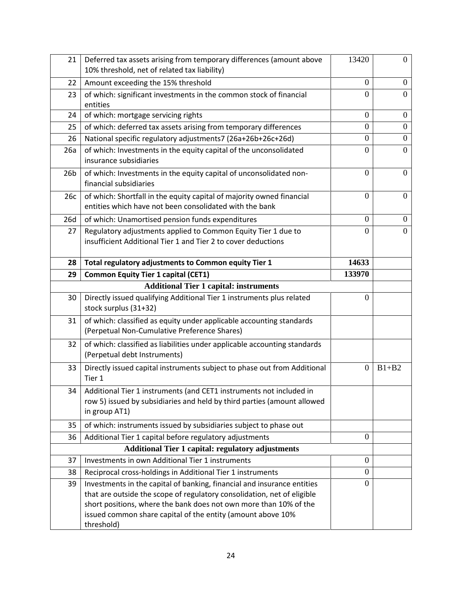| 21              | Deferred tax assets arising from temporary differences (amount above<br>10% threshold, net of related tax liability)                           | 13420            | $\mathbf{0}$     |
|-----------------|------------------------------------------------------------------------------------------------------------------------------------------------|------------------|------------------|
| 22              | Amount exceeding the 15% threshold                                                                                                             | $\overline{0}$   | $\boldsymbol{0}$ |
| 23              | of which: significant investments in the common stock of financial<br>entities                                                                 | $\Omega$         | $\theta$         |
| 24              | of which: mortgage servicing rights                                                                                                            | $\theta$         | $\boldsymbol{0}$ |
| 25              | of which: deferred tax assets arising from temporary differences                                                                               | $\boldsymbol{0}$ | $\boldsymbol{0}$ |
| 26              | National specific regulatory adjustments7 (26a+26b+26c+26d)                                                                                    | $\overline{0}$   | $\boldsymbol{0}$ |
| 26a             | of which: Investments in the equity capital of the unconsolidated<br>insurance subsidiaries                                                    | $\overline{0}$   | $\overline{0}$   |
| 26 <sub>b</sub> | of which: Investments in the equity capital of unconsolidated non-<br>financial subsidiaries                                                   | $\overline{0}$   | $\overline{0}$   |
| 26c             | of which: Shortfall in the equity capital of majority owned financial<br>entities which have not been consolidated with the bank               | $\theta$         | $\mathbf{0}$     |
| 26d             | of which: Unamortised pension funds expenditures                                                                                               | $\theta$         | $\boldsymbol{0}$ |
| 27              | Regulatory adjustments applied to Common Equity Tier 1 due to<br>insufficient Additional Tier 1 and Tier 2 to cover deductions                 | $\Omega$         | $\theta$         |
| 28              | Total regulatory adjustments to Common equity Tier 1                                                                                           | 14633            |                  |
| 29              | <b>Common Equity Tier 1 capital (CET1)</b>                                                                                                     | 133970           |                  |
|                 | <b>Additional Tier 1 capital: instruments</b>                                                                                                  |                  |                  |
| 30              | Directly issued qualifying Additional Tier 1 instruments plus related<br>stock surplus (31+32)                                                 | $\mathbf{0}$     |                  |
| 31              | of which: classified as equity under applicable accounting standards<br>(Perpetual Non-Cumulative Preference Shares)                           |                  |                  |
| 32              | of which: classified as liabilities under applicable accounting standards<br>(Perpetual debt Instruments)                                      |                  |                  |
| 33              | Directly issued capital instruments subject to phase out from Additional<br>Tier 1                                                             | $\overline{0}$   | $B1+B2$          |
| 34              | Additional Tier 1 instruments (and CET1 instruments not included in<br>row 5) issued by subsidiaries and held by third parties (amount allowed |                  |                  |
| 35              | in group AT1)                                                                                                                                  |                  |                  |
|                 | of which: instruments issued by subsidiaries subject to phase out                                                                              |                  |                  |
| 36              | Additional Tier 1 capital before regulatory adjustments                                                                                        | $\theta$         |                  |
|                 | <b>Additional Tier 1 capital: regulatory adjustments</b>                                                                                       |                  |                  |
| 37              | Investments in own Additional Tier 1 instruments                                                                                               | $\overline{0}$   |                  |
| 38              | Reciprocal cross-holdings in Additional Tier 1 instruments                                                                                     | $\mathbf{0}$     |                  |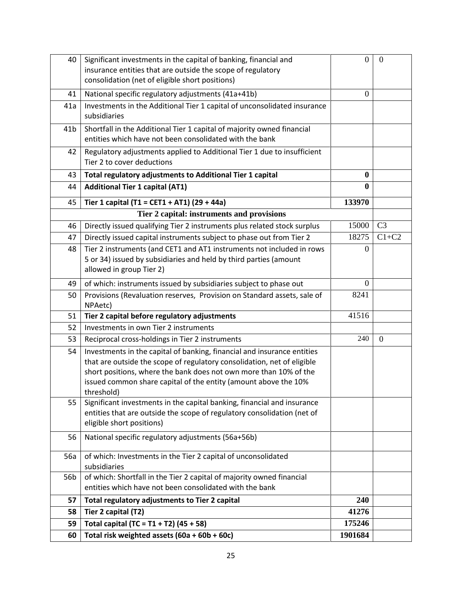| 40              | Significant investments in the capital of banking, financial and<br>insurance entities that are outside the scope of regulatory<br>consolidation (net of eligible short positions)                                                                                                                       | $\theta$     | $\theta$       |
|-----------------|----------------------------------------------------------------------------------------------------------------------------------------------------------------------------------------------------------------------------------------------------------------------------------------------------------|--------------|----------------|
| 41              | National specific regulatory adjustments (41a+41b)                                                                                                                                                                                                                                                       | $\Omega$     |                |
| 41a             | Investments in the Additional Tier 1 capital of unconsolidated insurance<br>subsidiaries                                                                                                                                                                                                                 |              |                |
| 41 <sub>b</sub> | Shortfall in the Additional Tier 1 capital of majority owned financial<br>entities which have not been consolidated with the bank                                                                                                                                                                        |              |                |
| 42              | Regulatory adjustments applied to Additional Tier 1 due to insufficient<br>Tier 2 to cover deductions                                                                                                                                                                                                    |              |                |
| 43              | Total regulatory adjustments to Additional Tier 1 capital                                                                                                                                                                                                                                                | $\bf{0}$     |                |
| 44              | <b>Additional Tier 1 capital (AT1)</b>                                                                                                                                                                                                                                                                   | $\mathbf{0}$ |                |
| 45              | Tier 1 capital (T1 = CET1 + AT1) (29 + 44a)                                                                                                                                                                                                                                                              | 133970       |                |
|                 | Tier 2 capital: instruments and provisions                                                                                                                                                                                                                                                               |              |                |
| 46              | Directly issued qualifying Tier 2 instruments plus related stock surplus                                                                                                                                                                                                                                 | 15000        | C <sub>3</sub> |
| 47              | Directly issued capital instruments subject to phase out from Tier 2                                                                                                                                                                                                                                     | 18275        | $C1+C2$        |
| 48              | Tier 2 instruments (and CET1 and AT1 instruments not included in rows<br>5 or 34) issued by subsidiaries and held by third parties (amount<br>allowed in group Tier 2)                                                                                                                                   | 0            |                |
| 49              | of which: instruments issued by subsidiaries subject to phase out                                                                                                                                                                                                                                        | $\theta$     |                |
| 50              | Provisions (Revaluation reserves, Provision on Standard assets, sale of<br>NPAetc)                                                                                                                                                                                                                       | 8241         |                |
| 51              | Tier 2 capital before regulatory adjustments                                                                                                                                                                                                                                                             | 41516        |                |
| 52              | Investments in own Tier 2 instruments                                                                                                                                                                                                                                                                    |              |                |
| 53              | Reciprocal cross-holdings in Tier 2 instruments                                                                                                                                                                                                                                                          | 240          | $\overline{0}$ |
| 54              | Investments in the capital of banking, financial and insurance entities<br>that are outside the scope of regulatory consolidation, net of eligible<br>short positions, where the bank does not own more than 10% of the<br>issued common share capital of the entity (amount above the 10%<br>threshold) |              |                |
| 55              | Significant investments in the capital banking, financial and insurance<br>entities that are outside the scope of regulatory consolidation (net of<br>eligible short positions)                                                                                                                          |              |                |
| 56              | National specific regulatory adjustments (56a+56b)                                                                                                                                                                                                                                                       |              |                |
| 56a             | of which: Investments in the Tier 2 capital of unconsolidated<br>subsidiaries                                                                                                                                                                                                                            |              |                |
| 56 <sub>b</sub> | of which: Shortfall in the Tier 2 capital of majority owned financial<br>entities which have not been consolidated with the bank                                                                                                                                                                         |              |                |
| 57              | Total regulatory adjustments to Tier 2 capital                                                                                                                                                                                                                                                           | 240          |                |
| 58              | Tier 2 capital (T2)                                                                                                                                                                                                                                                                                      | 41276        |                |
| 59              | Total capital (TC = $T1 + T2$ ) (45 + 58)                                                                                                                                                                                                                                                                | 175246       |                |
| 60              | Total risk weighted assets (60a + 60b + 60c)                                                                                                                                                                                                                                                             | 1901684      |                |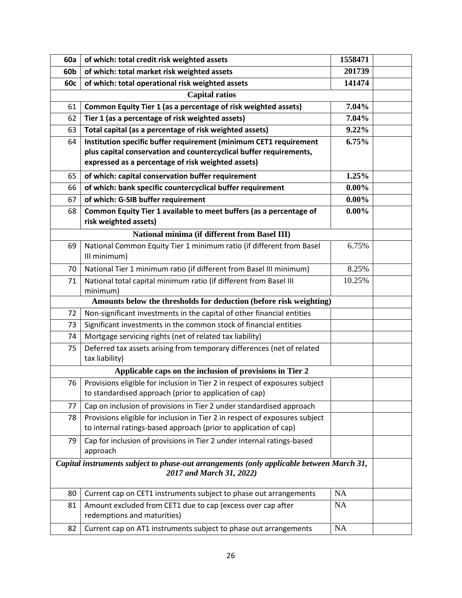| 60a             | of which: total credit risk weighted assets                                                                                                     | 1558471   |  |  |  |
|-----------------|-------------------------------------------------------------------------------------------------------------------------------------------------|-----------|--|--|--|
| 60 <sub>b</sub> | of which: total market risk weighted assets                                                                                                     | 201739    |  |  |  |
| 60c             | of which: total operational risk weighted assets                                                                                                | 141474    |  |  |  |
|                 | <b>Capital ratios</b>                                                                                                                           |           |  |  |  |
| 61              | Common Equity Tier 1 (as a percentage of risk weighted assets)                                                                                  | 7.04%     |  |  |  |
| 62              | Tier 1 (as a percentage of risk weighted assets)                                                                                                | 7.04%     |  |  |  |
| 63              | Total capital (as a percentage of risk weighted assets)                                                                                         | 9.22%     |  |  |  |
| 64              | Institution specific buffer requirement (minimum CET1 requirement                                                                               | 6.75%     |  |  |  |
|                 | plus capital conservation and countercyclical buffer requirements,                                                                              |           |  |  |  |
|                 | expressed as a percentage of risk weighted assets)                                                                                              |           |  |  |  |
| 65              | of which: capital conservation buffer requirement                                                                                               | 1.25%     |  |  |  |
| 66              | of which: bank specific countercyclical buffer requirement                                                                                      | $0.00\%$  |  |  |  |
| 67              | of which: G-SIB buffer requirement                                                                                                              | $0.00\%$  |  |  |  |
| 68              | Common Equity Tier 1 available to meet buffers (as a percentage of<br>risk weighted assets)                                                     | $0.00\%$  |  |  |  |
|                 | National minima (if different from Basel III)                                                                                                   |           |  |  |  |
| 69              | National Common Equity Tier 1 minimum ratio (if different from Basel<br>III minimum)                                                            | 6.75%     |  |  |  |
| 70              | National Tier 1 minimum ratio (if different from Basel III minimum)                                                                             | 8.25%     |  |  |  |
| 71              | National total capital minimum ratio (if different from Basel III                                                                               | 10.25%    |  |  |  |
|                 | minimum)                                                                                                                                        |           |  |  |  |
|                 | Amounts below the thresholds for deduction (before risk weighting)                                                                              |           |  |  |  |
| 72              | Non-significant investments in the capital of other financial entities                                                                          |           |  |  |  |
| 73              | Significant investments in the common stock of financial entities                                                                               |           |  |  |  |
| 74              | Mortgage servicing rights (net of related tax liability)                                                                                        |           |  |  |  |
| 75              | Deferred tax assets arising from temporary differences (net of related<br>tax liability)                                                        |           |  |  |  |
|                 | Applicable caps on the inclusion of provisions in Tier 2                                                                                        |           |  |  |  |
| 76              | Provisions eligible for inclusion in Tier 2 in respect of exposures subject<br>to standardised approach (prior to application of cap)           |           |  |  |  |
| 77              | Cap on inclusion of provisions in Tier 2 under standardised approach                                                                            |           |  |  |  |
| 78              | Provisions eligible for inclusion in Tier 2 in respect of exposures subject<br>to internal ratings-based approach (prior to application of cap) |           |  |  |  |
| 79              | Cap for inclusion of provisions in Tier 2 under internal ratings-based<br>approach                                                              |           |  |  |  |
|                 | Capital instruments subject to phase-out arrangements (only applicable between March 31,<br>2017 and March 31, 2022)                            |           |  |  |  |
| 80              | Current cap on CET1 instruments subject to phase out arrangements                                                                               | NA        |  |  |  |
| 81              | Amount excluded from CET1 due to cap (excess over cap after<br>redemptions and maturities)                                                      | <b>NA</b> |  |  |  |
| 82              | Current cap on AT1 instruments subject to phase out arrangements                                                                                | NA        |  |  |  |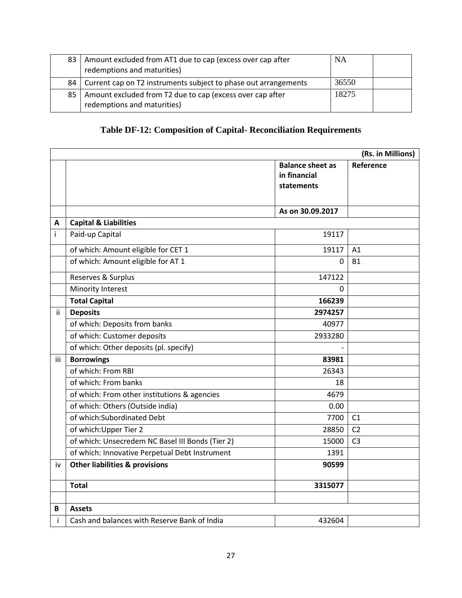|    | 83   Amount excluded from AT1 due to cap (excess over cap after<br>redemptions and maturities) | NA    |  |
|----|------------------------------------------------------------------------------------------------|-------|--|
| 84 | Current cap on T2 instruments subject to phase out arrangements                                | 36550 |  |
| 85 | Amount excluded from T2 due to cap (excess over cap after<br>redemptions and maturities)       | 18275 |  |

# **Table DF-12: Composition of Capital- Reconciliation Requirements**

|     |                                                  |                                                              | (Rs. in Millions) |
|-----|--------------------------------------------------|--------------------------------------------------------------|-------------------|
|     |                                                  | <b>Balance sheet as</b><br>in financial<br><b>statements</b> | Reference         |
|     |                                                  | As on 30.09.2017                                             |                   |
| A   | <b>Capital &amp; Liabilities</b>                 |                                                              |                   |
| i   | Paid-up Capital                                  | 19117                                                        |                   |
|     | of which: Amount eligible for CET 1              | 19117                                                        | A <sub>1</sub>    |
|     | of which: Amount eligible for AT 1               | 0                                                            | <b>B1</b>         |
|     | Reserves & Surplus                               | 147122                                                       |                   |
|     | Minority Interest                                | 0                                                            |                   |
|     | <b>Total Capital</b>                             | 166239                                                       |                   |
| ii. | <b>Deposits</b>                                  | 2974257                                                      |                   |
|     | of which: Deposits from banks                    | 40977                                                        |                   |
|     | of which: Customer deposits                      | 2933280                                                      |                   |
|     | of which: Other deposits (pl. specify)           |                                                              |                   |
| iii | <b>Borrowings</b>                                | 83981                                                        |                   |
|     | of which: From RBI                               | 26343                                                        |                   |
|     | of which: From banks                             | 18                                                           |                   |
|     | of which: From other institutions & agencies     | 4679                                                         |                   |
|     | of which: Others (Outside india)                 | 0.00                                                         |                   |
|     | of which: Subordinated Debt                      | 7700                                                         | C <sub>1</sub>    |
|     | of which: Upper Tier 2                           | 28850                                                        | C <sub>2</sub>    |
|     | of which: Unsecredem NC Basel III Bonds (Tier 2) | 15000                                                        | C <sub>3</sub>    |
|     | of which: Innovative Perpetual Debt Instrument   | 1391                                                         |                   |
| iv  | <b>Other liabilities &amp; provisions</b>        | 90599                                                        |                   |
|     | <b>Total</b>                                     | 3315077                                                      |                   |
|     |                                                  |                                                              |                   |
| B   | <b>Assets</b>                                    |                                                              |                   |
| i   | Cash and balances with Reserve Bank of India     | 432604                                                       |                   |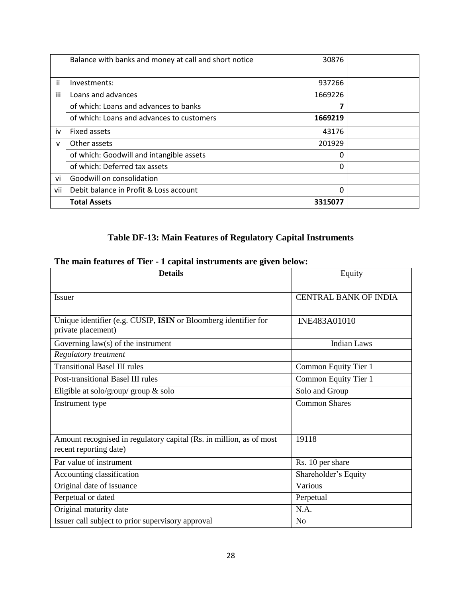|              | Balance with banks and money at call and short notice | 30876   |  |
|--------------|-------------------------------------------------------|---------|--|
|              |                                                       |         |  |
| ii.          | Investments:                                          | 937266  |  |
| iii          | Loans and advances                                    | 1669226 |  |
|              | of which: Loans and advances to banks                 |         |  |
|              | of which: Loans and advances to customers             | 1669219 |  |
| iv           | Fixed assets                                          | 43176   |  |
| $\mathsf{v}$ | Other assets                                          | 201929  |  |
|              | of which: Goodwill and intangible assets              | 0       |  |
|              | of which: Deferred tax assets                         | O       |  |
| vi           | Goodwill on consolidation                             |         |  |
| vii          | Debit balance in Profit & Loss account                | 0       |  |
|              | <b>Total Assets</b>                                   | 3315077 |  |

# **Table DF-13: Main Features of Regulatory Capital Instruments**

# **The main features of Tier - 1 capital instruments are given below:**

| <b>Details</b>                                                      | Equity                       |
|---------------------------------------------------------------------|------------------------------|
|                                                                     |                              |
| <b>Issuer</b>                                                       | <b>CENTRAL BANK OF INDIA</b> |
|                                                                     |                              |
| Unique identifier (e.g. CUSIP, ISIN or Bloomberg identifier for     | INE483A01010                 |
| private placement)                                                  |                              |
| Governing $law(s)$ of the instrument                                | <b>Indian Laws</b>           |
| Regulatory treatment                                                |                              |
| <b>Transitional Basel III rules</b>                                 | Common Equity Tier 1         |
| Post-transitional Basel III rules                                   | Common Equity Tier 1         |
| Eligible at solo/group/ group & solo                                | Solo and Group               |
| Instrument type                                                     | <b>Common Shares</b>         |
|                                                                     |                              |
|                                                                     |                              |
| Amount recognised in regulatory capital (Rs. in million, as of most | 19118                        |
| recent reporting date)                                              |                              |
| Par value of instrument                                             | Rs. 10 per share             |
| Accounting classification                                           | Shareholder's Equity         |
| Original date of issuance                                           | Various                      |
| Perpetual or dated                                                  | Perpetual                    |
| Original maturity date                                              | N.A.                         |
| Issuer call subject to prior supervisory approval                   | N <sub>o</sub>               |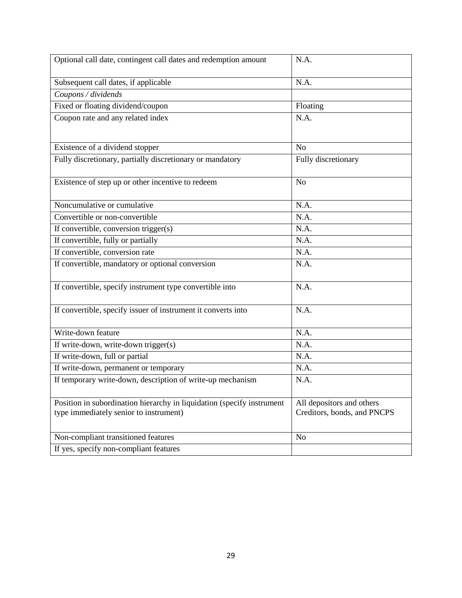| Optional call date, contingent call dates and redemption amount                                                  | N.A.                                                     |
|------------------------------------------------------------------------------------------------------------------|----------------------------------------------------------|
| Subsequent call dates, if applicable                                                                             | N.A.                                                     |
| Coupons / dividends                                                                                              |                                                          |
| Fixed or floating dividend/coupon                                                                                | Floating                                                 |
| Coupon rate and any related index                                                                                | N.A.                                                     |
| Existence of a dividend stopper                                                                                  | N <sub>o</sub>                                           |
| Fully discretionary, partially discretionary or mandatory                                                        | Fully discretionary                                      |
| Existence of step up or other incentive to redeem                                                                | N <sub>o</sub>                                           |
| Noncumulative or cumulative                                                                                      | N.A.                                                     |
| Convertible or non-convertible                                                                                   | N.A.                                                     |
| If convertible, conversion trigger(s)                                                                            | N.A.                                                     |
| If convertible, fully or partially                                                                               | N.A.                                                     |
| If convertible, conversion rate                                                                                  | N.A.                                                     |
| If convertible, mandatory or optional conversion                                                                 | N.A.                                                     |
| If convertible, specify instrument type convertible into                                                         | N.A.                                                     |
| If convertible, specify issuer of instrument it converts into                                                    | N.A.                                                     |
| Write-down feature                                                                                               | N.A.                                                     |
| If write-down, write-down trigger(s)                                                                             | N.A.                                                     |
| If write-down, full or partial                                                                                   | N.A.                                                     |
| If write-down, permanent or temporary                                                                            | N.A.                                                     |
| If temporary write-down, description of write-up mechanism                                                       | N.A.                                                     |
| Position in subordination hierarchy in liquidation (specify instrument<br>type immediately senior to instrument) | All depositors and others<br>Creditors, bonds, and PNCPS |
|                                                                                                                  |                                                          |
| Non-compliant transitioned features                                                                              | N <sub>o</sub>                                           |
| If yes, specify non-compliant features                                                                           |                                                          |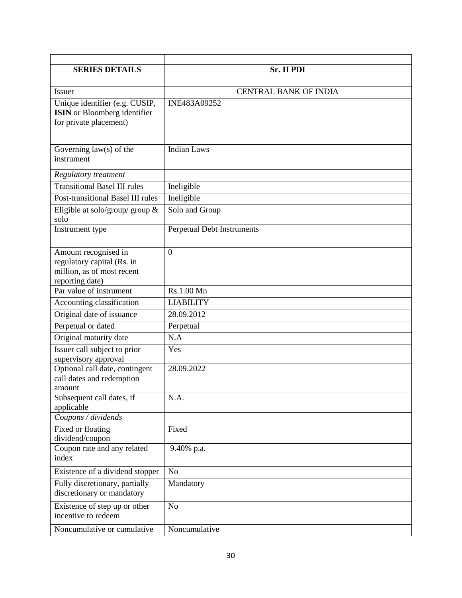| <b>SERIES DETAILS</b>                                                                               | <b>Sr. II PDI</b>            |
|-----------------------------------------------------------------------------------------------------|------------------------------|
|                                                                                                     |                              |
| <b>Issuer</b>                                                                                       | <b>CENTRAL BANK OF INDIA</b> |
| Unique identifier (e.g. CUSIP,<br><b>ISIN</b> or Bloomberg identifier<br>for private placement)     | INE483A09252                 |
| Governing $law(s)$ of the<br>instrument                                                             | <b>Indian Laws</b>           |
| Regulatory treatment                                                                                |                              |
| <b>Transitional Basel III rules</b>                                                                 | Ineligible                   |
| Post-transitional Basel III rules                                                                   | Ineligible                   |
| Eligible at solo/group/ group $\&$<br>solo                                                          | Solo and Group               |
| Instrument type                                                                                     | Perpetual Debt Instruments   |
| Amount recognised in<br>regulatory capital (Rs. in<br>million, as of most recent<br>reporting date) | $\overline{0}$               |
| Par value of instrument                                                                             | Rs.1.00 Mn                   |
| Accounting classification                                                                           | <b>LIABILITY</b>             |
| Original date of issuance                                                                           | 28.09.2012                   |
| Perpetual or dated                                                                                  | Perpetual                    |
| Original maturity date                                                                              | N.A                          |
| Issuer call subject to prior<br>supervisory approval                                                | Yes                          |
| Optional call date, contingent<br>call dates and redemption<br>amount                               | 28.09.2022                   |
| Subsequent call dates, if<br>applicable                                                             | N.A.                         |
| Coupons / dividends                                                                                 |                              |
| Fixed or floating<br>dividend/coupon                                                                | Fixed                        |
| Coupon rate and any related<br>index                                                                | 9.40% p.a.                   |
| Existence of a dividend stopper                                                                     | N <sub>o</sub>               |
| Fully discretionary, partially<br>discretionary or mandatory                                        | Mandatory                    |
| Existence of step up or other<br>incentive to redeem                                                | N <sub>o</sub>               |
| Noncumulative or cumulative                                                                         | Noncumulative                |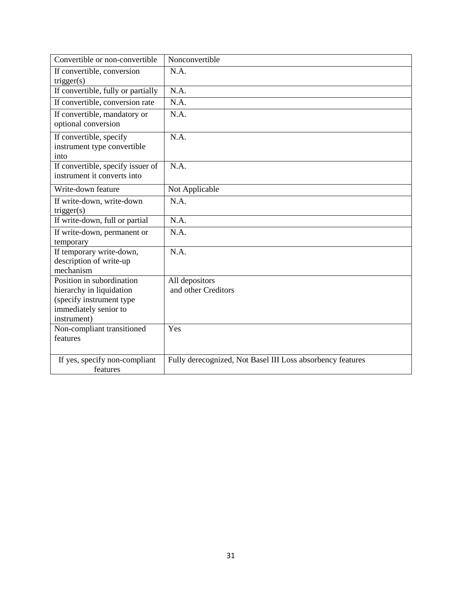| Convertible or non-convertible                                                                                            | Nonconvertible                                             |
|---------------------------------------------------------------------------------------------------------------------------|------------------------------------------------------------|
| If convertible, conversion                                                                                                | N.A.                                                       |
| trigger(s)                                                                                                                |                                                            |
| If convertible, fully or partially                                                                                        | N.A.                                                       |
| If convertible, conversion rate                                                                                           | N.A.                                                       |
| If convertible, mandatory or<br>optional conversion                                                                       | N.A.                                                       |
| If convertible, specify<br>instrument type convertible<br>into                                                            | N.A.                                                       |
| If convertible, specify issuer of<br>instrument it converts into                                                          | N.A.                                                       |
| Write-down feature                                                                                                        | Not Applicable                                             |
| If write-down, write-down<br>trigger(s)                                                                                   | N.A.                                                       |
| If write-down, full or partial                                                                                            | N.A.                                                       |
| If write-down, permanent or<br>temporary                                                                                  | N.A.                                                       |
| If temporary write-down,<br>description of write-up<br>mechanism                                                          | N.A.                                                       |
| Position in subordination<br>hierarchy in liquidation<br>(specify instrument type<br>immediately senior to<br>instrument) | All depositors<br>and other Creditors                      |
| Non-compliant transitioned<br>features                                                                                    | Yes                                                        |
| If yes, specify non-compliant<br>features                                                                                 | Fully derecognized, Not Basel III Loss absorbency features |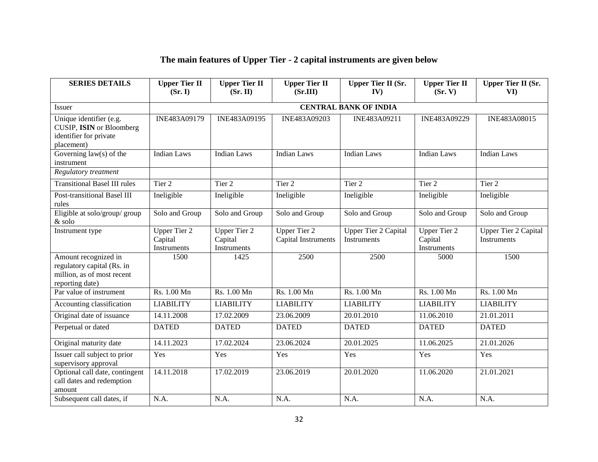# **The main features of Upper Tier - 2 capital instruments are given below**

| <b>SERIES DETAILS</b>                                                                               | <b>Upper Tier II</b><br>(Sr, I)               | <b>Upper Tier II</b><br>(Sr. II)              | <b>Upper Tier II</b><br>(Sr.III)           | <b>Upper Tier II (Sr.</b><br>IV)           | <b>Upper Tier II</b><br>(Sr, V)               | <b>Upper Tier II (Sr.</b><br>VI)           |
|-----------------------------------------------------------------------------------------------------|-----------------------------------------------|-----------------------------------------------|--------------------------------------------|--------------------------------------------|-----------------------------------------------|--------------------------------------------|
| <b>Issuer</b>                                                                                       |                                               |                                               |                                            | <b>CENTRAL BANK OF INDIA</b>               |                                               |                                            |
| Unique identifier (e.g.<br>CUSIP, ISIN or Bloomberg<br>identifier for private<br>placement)         | INE483A09179                                  | INE483A09195                                  | <b>INE483A09203</b>                        | INE483A09211                               | INE483A09229                                  | INE483A08015                               |
| Governing $law(s)$ of the<br>instrument                                                             | <b>Indian Laws</b>                            | <b>Indian Laws</b>                            | <b>Indian Laws</b>                         | <b>Indian Laws</b>                         | <b>Indian Laws</b>                            | <b>Indian Laws</b>                         |
| Regulatory treatment                                                                                |                                               |                                               |                                            |                                            |                                               |                                            |
| <b>Transitional Basel III rules</b>                                                                 | Tier <sub>2</sub>                             | Tier 2                                        | Tier 2                                     | Tier 2                                     | Tier 2                                        | Tier 2                                     |
| Post-transitional Basel III<br>rules                                                                | Ineligible                                    | Ineligible                                    | Ineligible                                 | Ineligible                                 | Ineligible                                    | Ineligible                                 |
| Eligible at solo/group/ group<br>$\&$ solo                                                          | Solo and Group                                | Solo and Group                                | Solo and Group                             | Solo and Group                             | Solo and Group                                | Solo and Group                             |
| Instrument type                                                                                     | <b>Upper Tier 2</b><br>Capital<br>Instruments | <b>Upper Tier 2</b><br>Capital<br>Instruments | <b>Upper Tier 2</b><br>Capital Instruments | <b>Upper Tier 2 Capital</b><br>Instruments | <b>Upper Tier 2</b><br>Capital<br>Instruments | <b>Upper Tier 2 Capital</b><br>Instruments |
| Amount recognized in<br>regulatory capital (Rs. in<br>million, as of most recent<br>reporting date) | 1500                                          | 1425                                          | 2500                                       | 2500                                       | 5000                                          | 1500                                       |
| Par value of instrument                                                                             | Rs. 1.00 Mn                                   | Rs. 1.00 Mn                                   | Rs. 1.00 Mn                                | Rs. 1.00 Mn                                | Rs. 1.00 Mn                                   | Rs. 1.00 Mn                                |
| Accounting classification                                                                           | <b>LIABILITY</b>                              | <b>LIABILITY</b>                              | <b>LIABILITY</b>                           | <b>LIABILITY</b>                           | <b>LIABILITY</b>                              | <b>LIABILITY</b>                           |
| Original date of issuance                                                                           | 14.11.2008                                    | 17.02.2009                                    | 23.06.2009                                 | 20.01.2010                                 | 11.06.2010                                    | 21.01.2011                                 |
| Perpetual or dated                                                                                  | <b>DATED</b>                                  | <b>DATED</b>                                  | <b>DATED</b>                               | <b>DATED</b>                               | <b>DATED</b>                                  | <b>DATED</b>                               |
| Original maturity date                                                                              | 14.11.2023                                    | 17.02.2024                                    | 23.06.2024                                 | 20.01.2025                                 | 11.06.2025                                    | 21.01.2026                                 |
| Issuer call subject to prior<br>supervisory approval                                                | Yes                                           | Yes                                           | Yes                                        | Yes                                        | Yes                                           | Yes                                        |
| Optional call date, contingent<br>call dates and redemption<br>amount                               | 14.11.2018                                    | 17.02.2019                                    | 23.06.2019                                 | 20.01.2020                                 | 11.06.2020                                    | 21.01.2021                                 |
| Subsequent call dates, if                                                                           | N.A.                                          | N.A.                                          | N.A.                                       | N.A.                                       | N.A.                                          | N.A.                                       |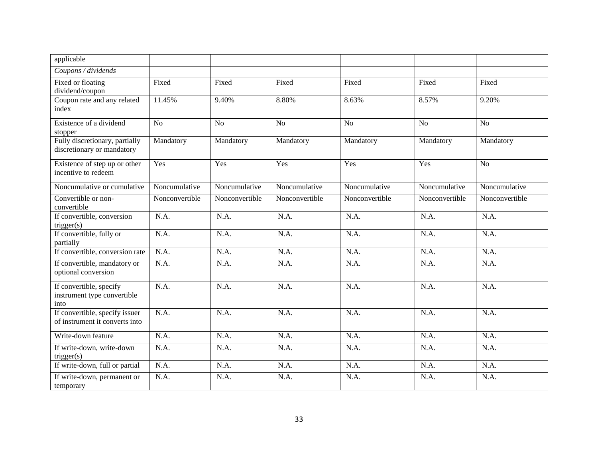| applicable                                                       |                |                |                |                |                |                |
|------------------------------------------------------------------|----------------|----------------|----------------|----------------|----------------|----------------|
| Coupons / dividends                                              |                |                |                |                |                |                |
| Fixed or floating<br>dividend/coupon                             | Fixed          | Fixed          | Fixed          | Fixed          | Fixed          | Fixed          |
| Coupon rate and any related<br>index                             | 11.45%         | 9.40%          | 8.80%          | 8.63%          | 8.57%          | 9.20%          |
| Existence of a dividend<br>stopper                               | N <sub>o</sub> | N <sub>o</sub> | N <sub>o</sub> | No             | N <sub>o</sub> | N <sub>o</sub> |
| Fully discretionary, partially<br>discretionary or mandatory     | Mandatory      | Mandatory      | Mandatory      | Mandatory      | Mandatory      | Mandatory      |
| Existence of step up or other<br>incentive to redeem             | Yes            | Yes            | Yes            | Yes            | Yes            | N <sub>o</sub> |
| Noncumulative or cumulative                                      | Noncumulative  | Noncumulative  | Noncumulative  | Noncumulative  | Noncumulative  | Noncumulative  |
| Convertible or non-<br>convertible                               | Nonconvertible | Nonconvertible | Nonconvertible | Nonconvertible | Nonconvertible | Nonconvertible |
| If convertible, conversion<br>trigger(s)                         | N.A.           | N.A.           | N.A.           | N.A.           | N.A.           | N.A.           |
| If convertible, fully or<br>partially                            | N.A.           | N.A.           | N.A.           | N.A.           | N.A.           | N.A.           |
| If convertible, conversion rate                                  | N.A.           | N.A.           | N.A.           | N.A.           | N.A.           | N.A.           |
| If convertible, mandatory or<br>optional conversion              | N.A.           | N.A.           | N.A.           | N.A.           | N.A.           | N.A.           |
| If convertible, specify<br>instrument type convertible<br>into   | N.A.           | N.A.           | N.A.           | N.A.           | N.A.           | N.A.           |
| If convertible, specify issuer<br>of instrument it converts into | N.A.           | N.A.           | N.A.           | N.A.           | N.A.           | N.A.           |
| Write-down feature                                               | N.A.           | N.A.           | N.A.           | N.A.           | N.A.           | N.A.           |
| If write-down, write-down<br>trigger(s)                          | N.A.           | N.A.           | N.A.           | N.A.           | N.A.           | N.A.           |
| If write-down, full or partial                                   | N.A.           | N.A.           | N.A.           | N.A.           | N.A.           | N.A.           |
| If write-down, permanent or<br>temporary                         | N.A.           | N.A.           | N.A.           | N.A.           | N.A.           | N.A.           |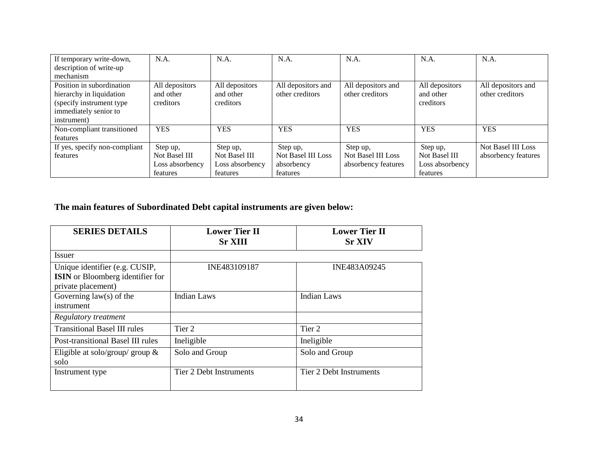| If temporary write-down,      | N.A.            | N.A.            | N.A.               | N.A.                      | N.A.            | N.A.                      |
|-------------------------------|-----------------|-----------------|--------------------|---------------------------|-----------------|---------------------------|
| description of write-up       |                 |                 |                    |                           |                 |                           |
| mechanism                     |                 |                 |                    |                           |                 |                           |
| Position in subordination     | All depositors  | All depositors  | All depositors and | All depositors and        | All depositors  | All depositors and        |
| hierarchy in liquidation      | and other       | and other       | other creditors    | other creditors           | and other       | other creditors           |
| (specify instrument type)     | creditors       | creditors       |                    |                           | creditors       |                           |
| immediately senior to         |                 |                 |                    |                           |                 |                           |
| instrument)                   |                 |                 |                    |                           |                 |                           |
| Non-compliant transitioned    | <b>YES</b>      | <b>YES</b>      | <b>YES</b>         | <b>YES</b>                | <b>YES</b>      | <b>YES</b>                |
| features                      |                 |                 |                    |                           |                 |                           |
| If yes, specify non-compliant | Step up,        | Step up,        | Step up,           | Step up,                  | Step up,        | <b>Not Basel III Loss</b> |
| features                      | Not Basel III   | Not Basel III   | Not Basel III Loss | <b>Not Basel III Loss</b> | Not Basel III   | absorbency features       |
|                               | Loss absorbency | Loss absorbency | absorbency         | absorbency features       | Loss absorbency |                           |
|                               | features        | features        | features           |                           | features        |                           |

# **The main features of Subordinated Debt capital instruments are given below:**

| <b>SERIES DETAILS</b>                                                                           | <b>Lower Tier II</b><br><b>Sr XIII</b> | <b>Lower Tier II</b><br><b>Sr XIV</b> |
|-------------------------------------------------------------------------------------------------|----------------------------------------|---------------------------------------|
| Issuer                                                                                          |                                        |                                       |
| Unique identifier (e.g. CUSIP,<br><b>ISIN</b> or Bloomberg identifier for<br>private placement) | INE483109187                           | INE483A09245                          |
| Governing $law(s)$ of the<br>instrument                                                         | Indian Laws                            | Indian Laws                           |
| Regulatory treatment                                                                            |                                        |                                       |
| <b>Transitional Basel III rules</b>                                                             | Tier 2                                 | Tier 2                                |
| Post-transitional Basel III rules                                                               | Ineligible                             | Ineligible                            |
| Eligible at solo/group/ group $\&$<br>solo                                                      | Solo and Group                         | Solo and Group                        |
| Instrument type                                                                                 | Tier 2 Debt Instruments                | Tier 2 Debt Instruments               |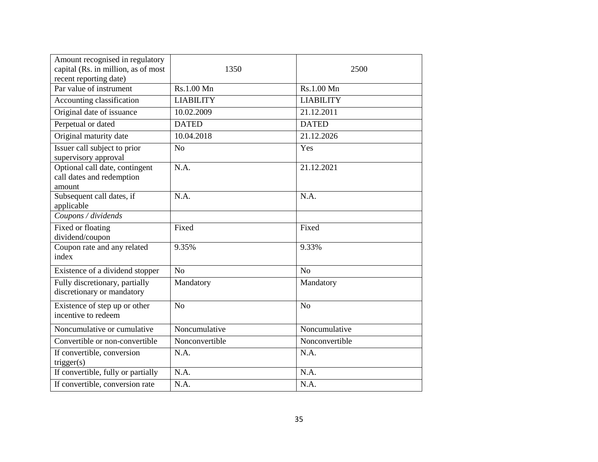| Amount recognised in regulatory<br>capital (Rs. in million, as of most<br>recent reporting date) | 1350             | 2500             |
|--------------------------------------------------------------------------------------------------|------------------|------------------|
| Par value of instrument                                                                          | Rs.1.00 Mn       | Rs.1.00 Mn       |
| Accounting classification                                                                        | <b>LIABILITY</b> | <b>LIABILITY</b> |
| Original date of issuance                                                                        | 10.02.2009       | 21.12.2011       |
| Perpetual or dated                                                                               | <b>DATED</b>     | <b>DATED</b>     |
| Original maturity date                                                                           | 10.04.2018       | 21.12.2026       |
| Issuer call subject to prior<br>supervisory approval                                             | N <sub>o</sub>   | Yes              |
| Optional call date, contingent<br>call dates and redemption<br>amount                            | N.A.             | 21.12.2021       |
| Subsequent call dates, if<br>applicable                                                          | N.A.             | N.A.             |
| Coupons / dividends                                                                              |                  |                  |
| Fixed or floating<br>dividend/coupon                                                             | Fixed            | Fixed            |
| Coupon rate and any related<br>index                                                             | 9.35%            | 9.33%            |
| Existence of a dividend stopper                                                                  | N <sub>o</sub>   | No               |
| Fully discretionary, partially<br>discretionary or mandatory                                     | Mandatory        | Mandatory        |
| Existence of step up or other<br>incentive to redeem                                             | No               | N <sub>o</sub>   |
| Noncumulative or cumulative                                                                      | Noncumulative    | Noncumulative    |
| Convertible or non-convertible                                                                   | Nonconvertible   | Nonconvertible   |
| If convertible, conversion<br>trigger(s)                                                         | N.A.             | N.A.             |
| If convertible, fully or partially                                                               | N.A.             | N.A.             |
| If convertible, conversion rate                                                                  | N.A.             | N.A.             |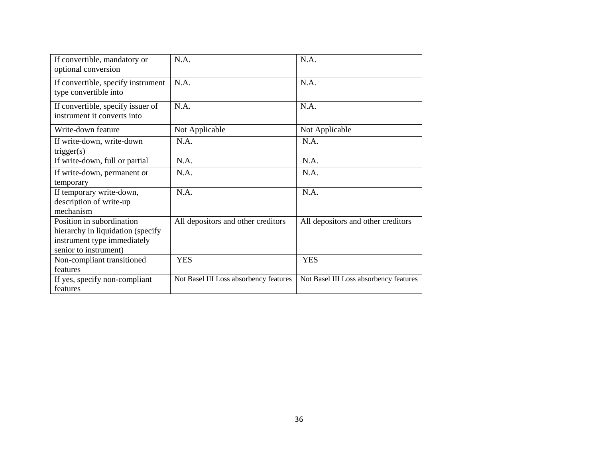| If convertible, mandatory or<br>optional conversion                                                                    | N.A.                                   | N.A.                                   |
|------------------------------------------------------------------------------------------------------------------------|----------------------------------------|----------------------------------------|
| If convertible, specify instrument<br>type convertible into                                                            | N.A.                                   | N.A.                                   |
| If convertible, specify issuer of<br>instrument it converts into                                                       | N.A.                                   | N.A.                                   |
| Write-down feature                                                                                                     | Not Applicable                         | Not Applicable                         |
| If write-down, write-down<br>trigger(s)                                                                                | N.A.                                   | N.A.                                   |
| If write-down, full or partial                                                                                         | N.A.                                   | N.A.                                   |
| If write-down, permanent or<br>temporary                                                                               | N.A.                                   | N.A.                                   |
| If temporary write-down,<br>description of write-up<br>mechanism                                                       | N.A.                                   | N.A.                                   |
| Position in subordination<br>hierarchy in liquidation (specify<br>instrument type immediately<br>senior to instrument) | All depositors and other creditors     | All depositors and other creditors     |
| Non-compliant transitioned<br>features                                                                                 | <b>YES</b>                             | <b>YES</b>                             |
| If yes, specify non-compliant<br>features                                                                              | Not Basel III Loss absorbency features | Not Basel III Loss absorbency features |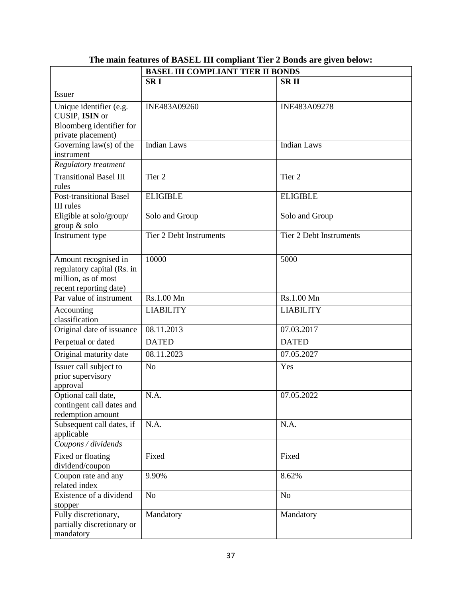|                                                                                                     | <b>BASEL III COMPLIANT TIER II BONDS</b> |                                |
|-----------------------------------------------------------------------------------------------------|------------------------------------------|--------------------------------|
|                                                                                                     | <b>SRI</b>                               | <b>SRII</b>                    |
| <b>Issuer</b>                                                                                       |                                          |                                |
| Unique identifier (e.g.<br>CUSIP, ISIN or<br>Bloomberg identifier for<br>private placement)         | INE483A09260                             | INE483A09278                   |
| Governing $law(s)$ of the<br>instrument                                                             | <b>Indian Laws</b>                       | Indian Laws                    |
| Regulatory treatment                                                                                |                                          |                                |
| <b>Transitional Basel III</b><br>rules                                                              | Tier <sub>2</sub>                        | Tier <sub>2</sub>              |
| <b>Post-transitional Basel</b><br>III rules                                                         | <b>ELIGIBLE</b>                          | <b>ELIGIBLE</b>                |
| Eligible at solo/group/<br>group & solo                                                             | Solo and Group                           | Solo and Group                 |
| Instrument type                                                                                     | <b>Tier 2 Debt Instruments</b>           | <b>Tier 2 Debt Instruments</b> |
| Amount recognised in<br>regulatory capital (Rs. in<br>million, as of most<br>recent reporting date) | 10000                                    | 5000                           |
| Par value of instrument                                                                             | Rs.1.00 Mn                               | Rs.1.00 Mn                     |
| Accounting<br>classification                                                                        | <b>LIABILITY</b>                         | <b>LIABILITY</b>               |
| Original date of issuance                                                                           | 08.11.2013                               | 07.03.2017                     |
| Perpetual or dated                                                                                  | <b>DATED</b>                             | <b>DATED</b>                   |
| Original maturity date                                                                              | 08.11.2023                               | 07.05.2027                     |
| Issuer call subject to<br>prior supervisory<br>approval                                             | N <sub>o</sub>                           | Yes                            |
| Optional call date,<br>contingent call dates and<br>redemption amount                               | N.A.                                     | 07.05.2022                     |
| Subsequent call dates, if<br>applicable                                                             | N.A.                                     | N.A.                           |
| Coupons / dividends                                                                                 |                                          |                                |
| Fixed or floating<br>dividend/coupon                                                                | Fixed                                    | Fixed                          |
| Coupon rate and any<br>related index                                                                | 9.90%                                    | 8.62%                          |
| Existence of a dividend<br>stopper                                                                  | N <sub>o</sub>                           | N <sub>o</sub>                 |
| Fully discretionary,<br>partially discretionary or<br>mandatory                                     | Mandatory                                | Mandatory                      |

# **The main features of BASEL III compliant Tier 2 Bonds are given below:**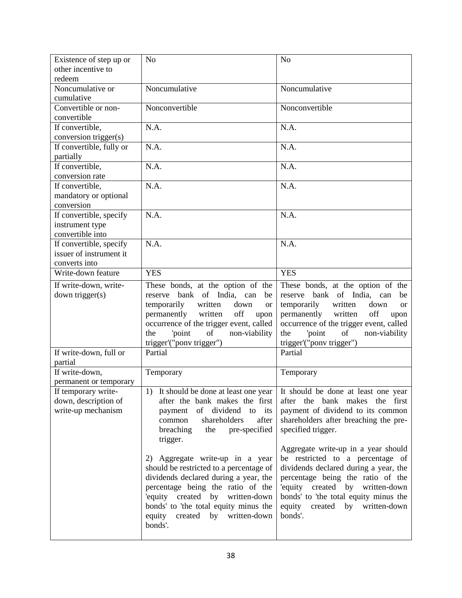| Existence of step up or      | N <sub>o</sub>                              | N <sub>o</sub>                                                             |
|------------------------------|---------------------------------------------|----------------------------------------------------------------------------|
| other incentive to           |                                             |                                                                            |
| redeem                       |                                             |                                                                            |
| Noncumulative or             | Noncumulative                               | Noncumulative                                                              |
| cumulative                   |                                             |                                                                            |
| Convertible or non-          | Nonconvertible                              | Nonconvertible                                                             |
| convertible                  |                                             |                                                                            |
| If convertible,              | N.A.                                        | N.A.                                                                       |
| conversion trigger(s)        | N.A.                                        | N.A.                                                                       |
| If convertible, fully or     |                                             |                                                                            |
| partially<br>If convertible, | N.A.                                        | N.A.                                                                       |
| conversion rate              |                                             |                                                                            |
| If convertible,              | N.A.                                        | N.A.                                                                       |
| mandatory or optional        |                                             |                                                                            |
| conversion                   |                                             |                                                                            |
| If convertible, specify      | N.A.                                        | N.A.                                                                       |
| instrument type              |                                             |                                                                            |
| convertible into             |                                             |                                                                            |
| If convertible, specify      | N.A.                                        | N.A.                                                                       |
| issuer of instrument it      |                                             |                                                                            |
| converts into                |                                             |                                                                            |
| Write-down feature           | <b>YES</b>                                  | <b>YES</b>                                                                 |
| If write-down, write-        | These bonds, at the option of the           | These bonds, at the option of the                                          |
| down trigger(s)              | bank of India, can<br>reserve<br>be         | bank of India, can<br>reserve<br>be                                        |
|                              | temporarily<br>written<br>down<br><b>or</b> | temporarily<br>written<br>down<br><sub>or</sub>                            |
|                              | permanently<br>written<br>off<br>upon       | permanently<br>written<br>off<br>upon                                      |
|                              | occurrence of the trigger event, called     | occurrence of the trigger event, called                                    |
|                              | of<br>'point<br>non-viability<br>the        | of<br>'point<br>non-viability<br>the                                       |
|                              | trigger'("ponv trigger")                    | trigger'("ponv trigger")                                                   |
| If write-down, full or       | Partial                                     | Partial                                                                    |
| partial<br>If write-down,    |                                             |                                                                            |
| permanent or temporary       | Temporary                                   | Temporary                                                                  |
| If temporary write-          |                                             | 1) It should be done at least one year It should be done at least one year |
| down, description of         | after the bank makes the first              | after the bank makes the first                                             |
| write-up mechanism           | of dividend to its<br>payment               | payment of dividend to its common                                          |
|                              | shareholders<br>after<br>common             | shareholders after breaching the pre-                                      |
|                              | breaching<br>pre-specified<br>the           | specified trigger.                                                         |
|                              | trigger.                                    |                                                                            |
|                              |                                             |                                                                            |
|                              |                                             | Aggregate write-up in a year should                                        |
|                              | 2) Aggregate write-up in a year             | be restricted to a percentage of                                           |
|                              | should be restricted to a percentage of     | dividends declared during a year, the                                      |
|                              | dividends declared during a year, the       | percentage being the ratio of the                                          |
|                              | percentage being the ratio of the           | 'equity created by written-down                                            |
|                              | 'equity created by written-down             | bonds' to 'the total equity minus the                                      |
|                              | bonds' to 'the total equity minus the       | equity<br>created by written-down                                          |
|                              | equity<br>created by written-down           | bonds'.                                                                    |
|                              | bonds'.                                     |                                                                            |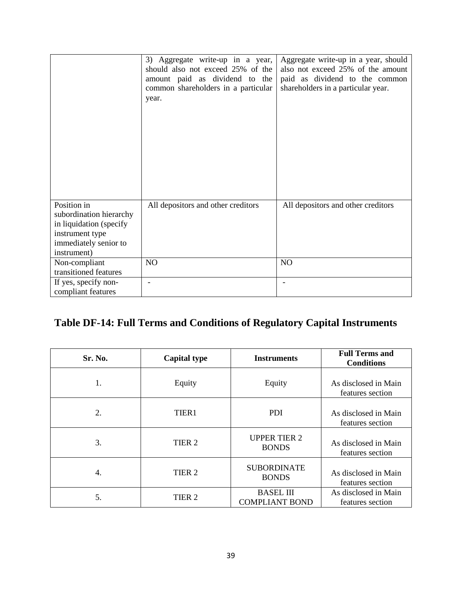|                                                                                                                              | 3) Aggregate write-up in a year,<br>should also not exceed 25% of the<br>amount paid as dividend to the<br>common shareholders in a particular<br>year. | Aggregate write-up in a year, should<br>also not exceed 25% of the amount<br>paid as dividend to the common<br>shareholders in a particular year. |
|------------------------------------------------------------------------------------------------------------------------------|---------------------------------------------------------------------------------------------------------------------------------------------------------|---------------------------------------------------------------------------------------------------------------------------------------------------|
| Position in<br>subordination hierarchy<br>in liquidation (specify<br>instrument type<br>immediately senior to<br>instrument) | All depositors and other creditors                                                                                                                      | All depositors and other creditors                                                                                                                |
| Non-compliant<br>transitioned features                                                                                       | NO                                                                                                                                                      | NO                                                                                                                                                |
| If yes, specify non-<br>compliant features                                                                                   | $\overline{a}$                                                                                                                                          |                                                                                                                                                   |

# **Table DF-14: Full Terms and Conditions of Regulatory Capital Instruments**

| Sr. No. | <b>Capital type</b> | <b>Instruments</b>                        | <b>Full Terms and</b><br><b>Conditions</b> |
|---------|---------------------|-------------------------------------------|--------------------------------------------|
| 1.      | Equity              | Equity                                    | As disclosed in Main<br>features section   |
| 2.      | TIER1               | <b>PDI</b>                                | As disclosed in Main<br>features section   |
| 3.      | TIER <sub>2</sub>   | <b>UPPER TIER 2</b><br><b>BONDS</b>       | As disclosed in Main<br>features section   |
| 4.      | TIER <sub>2</sub>   | <b>SUBORDINATE</b><br><b>BONDS</b>        | As disclosed in Main<br>features section   |
| 5.      | TIER <sub>2</sub>   | <b>BASEL III</b><br><b>COMPLIANT BOND</b> | As disclosed in Main<br>features section   |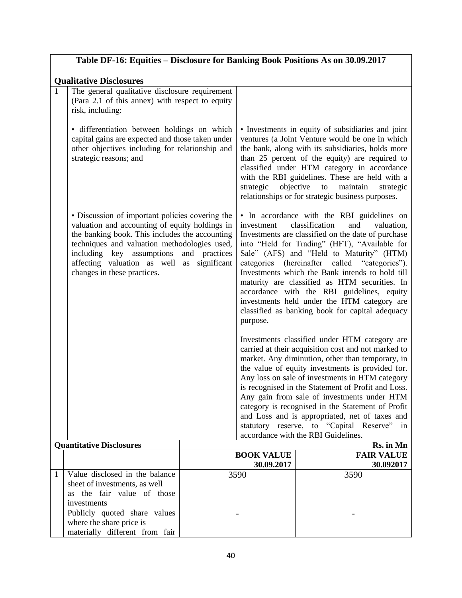|                                                                                                                                                                                                                                                                                                               |               | Table DF-16: Equities – Disclosure for Banking Book Positions As on 30.09.2017                                                                                                                                                                                                                                                                                                                                                                                                                                                                                      |
|---------------------------------------------------------------------------------------------------------------------------------------------------------------------------------------------------------------------------------------------------------------------------------------------------------------|---------------|---------------------------------------------------------------------------------------------------------------------------------------------------------------------------------------------------------------------------------------------------------------------------------------------------------------------------------------------------------------------------------------------------------------------------------------------------------------------------------------------------------------------------------------------------------------------|
| <b>Qualitative Disclosures</b><br>$\mathbf{1}$<br>The general qualitative disclosure requirement<br>(Para 2.1 of this annex) with respect to equity<br>risk, including:                                                                                                                                       |               |                                                                                                                                                                                                                                                                                                                                                                                                                                                                                                                                                                     |
| · differentiation between holdings on which<br>capital gains are expected and those taken under<br>other objectives including for relationship and<br>strategic reasons; and                                                                                                                                  |               | • Investments in equity of subsidiaries and joint<br>ventures (a Joint Venture would be one in which<br>the bank, along with its subsidiaries, holds more<br>than 25 percent of the equity) are required to<br>classified under HTM category in accordance<br>with the RBI guidelines. These are held with a<br>strategic<br>objective to<br>maintain<br>strategic<br>relationships or for strategic business purposes.                                                                                                                                             |
| • Discussion of important policies covering the<br>valuation and accounting of equity holdings in<br>the banking book. This includes the accounting<br>techniques and valuation methodologies used,<br>including key assumptions<br>affecting valuation as well as significant<br>changes in these practices. | and practices | • In accordance with the RBI guidelines on<br>classification<br>and<br>investment<br>valuation,<br>Investments are classified on the date of purchase<br>into "Held for Trading" (HFT), "Available for<br>Sale" (AFS) and "Held to Maturity" (HTM)<br>categories (hereinafter called "categories").<br>Investments which the Bank intends to hold till<br>maturity are classified as HTM securities. In<br>accordance with the RBI guidelines, equity<br>investments held under the HTM category are<br>classified as banking book for capital adequacy<br>purpose. |
|                                                                                                                                                                                                                                                                                                               |               | Investments classified under HTM category are<br>carried at their acquisition cost and not marked to<br>market. Any diminution, other than temporary, in<br>the value of equity investments is provided for.<br>Any loss on sale of investments in HTM category<br>is recognised in the Statement of Profit and Loss.<br>Any gain from sale of investments under HTM<br>category is recognised in the Statement of Profit<br>and Loss and is appropriated, net of taxes and<br>statutory reserve, to "Capital Reserve" in<br>accordance with the RBI Guidelines.    |
| <b>Ouantitative Disclosures</b>                                                                                                                                                                                                                                                                               |               | Rs. in Mn<br><b>FAIR VALUE</b><br><b>BOOK VALUE</b>                                                                                                                                                                                                                                                                                                                                                                                                                                                                                                                 |

| <b>U</b> ualituative Disclosures |                                                                                                              |                   | INS. III IVIII    |
|----------------------------------|--------------------------------------------------------------------------------------------------------------|-------------------|-------------------|
|                                  |                                                                                                              | <b>BOOK VALUE</b> | <b>FAIR VALUE</b> |
|                                  |                                                                                                              | 30.09.2017        | 30.092017         |
|                                  | Value disclosed in the balance<br>sheet of investments, as well<br>as the fair value of those<br>investments | 3590              | 3590              |
|                                  | Publicly quoted share values<br>where the share price is<br>materially different from fair                   |                   |                   |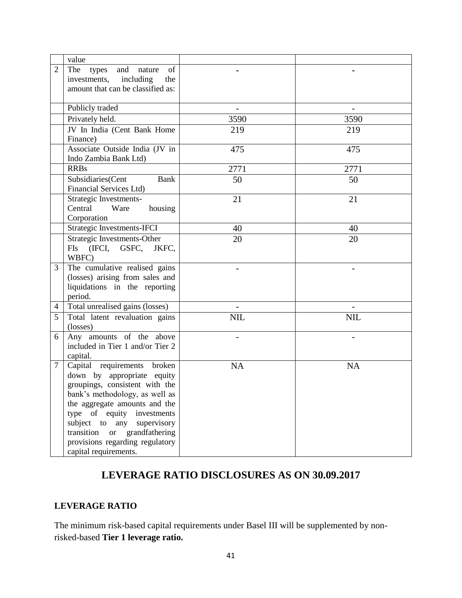|                | value                                                                                                                                                                                                                                                                                                                                          |            |            |
|----------------|------------------------------------------------------------------------------------------------------------------------------------------------------------------------------------------------------------------------------------------------------------------------------------------------------------------------------------------------|------------|------------|
| 2              | The types<br>and nature<br>of<br>investments, including<br>the<br>amount that can be classified as:                                                                                                                                                                                                                                            |            |            |
|                | Publicly traded                                                                                                                                                                                                                                                                                                                                |            |            |
|                | Privately held.                                                                                                                                                                                                                                                                                                                                | 3590       | 3590       |
|                | JV In India (Cent Bank Home<br>Finance)                                                                                                                                                                                                                                                                                                        | 219        | 219        |
|                | Associate Outside India (JV in<br>Indo Zambia Bank Ltd)                                                                                                                                                                                                                                                                                        | 475        | 475        |
|                | <b>RRBs</b>                                                                                                                                                                                                                                                                                                                                    | 2771       | 2771       |
|                | Subsidiaries(Cent<br>Bank<br><b>Financial Services Ltd)</b>                                                                                                                                                                                                                                                                                    | 50         | 50         |
|                | Strategic Investments-<br>Central<br>Ware<br>housing<br>Corporation                                                                                                                                                                                                                                                                            | 21         | 21         |
|                | Strategic Investments-IFCI                                                                                                                                                                                                                                                                                                                     | 40         | 40         |
|                | Strategic Investments-Other<br>FIs (IFCI, GSFC, JKFC,<br>WBFC)                                                                                                                                                                                                                                                                                 | 20         | 20         |
| 3              | The cumulative realised gains<br>(losses) arising from sales and<br>liquidations in the reporting<br>period.                                                                                                                                                                                                                                   |            |            |
| $\overline{4}$ | Total unrealised gains (losses)                                                                                                                                                                                                                                                                                                                |            |            |
| 5              | Total latent revaluation gains<br>(losses)                                                                                                                                                                                                                                                                                                     | <b>NIL</b> | <b>NIL</b> |
| 6              | Any amounts of the above<br>included in Tier 1 and/or Tier 2<br>capital.                                                                                                                                                                                                                                                                       |            |            |
| $\tau$         | Capital requirements broken<br>down by appropriate equity<br>groupings, consistent with the<br>bank's methodology, as well as<br>the aggregate amounts and the<br>type of equity<br>investments<br>subject to<br>supervisory<br>any<br>transition<br>grandfathering<br>$\hbox{or}$<br>provisions regarding regulatory<br>capital requirements. | <b>NA</b>  | <b>NA</b>  |

# **LEVERAGE RATIO DISCLOSURES AS ON 30.09.2017**

## **LEVERAGE RATIO**

The minimum risk-based capital requirements under Basel III will be supplemented by nonrisked-based **Tier 1 leverage ratio.**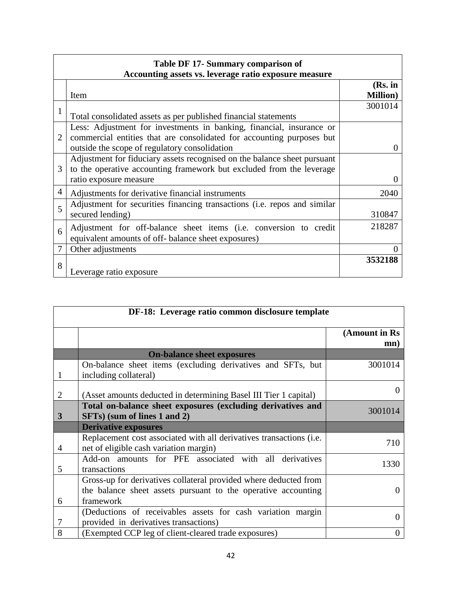| Table DF 17- Summary comparison of<br>Accounting assets vs. leverage ratio exposure measure |                                                                                                                                                                                                |                             |  |  |
|---------------------------------------------------------------------------------------------|------------------------------------------------------------------------------------------------------------------------------------------------------------------------------------------------|-----------------------------|--|--|
|                                                                                             | Item                                                                                                                                                                                           | (Rs. in<br><b>Million</b> ) |  |  |
| 1                                                                                           | Total consolidated assets as per published financial statements                                                                                                                                | 3001014                     |  |  |
| $\overline{2}$                                                                              | Less: Adjustment for investments in banking, financial, insurance or<br>commercial entities that are consolidated for accounting purposes but<br>outside the scope of regulatory consolidation | $\Omega$                    |  |  |
| 3                                                                                           | Adjustment for fiduciary assets recognised on the balance sheet pursuant<br>to the operative accounting framework but excluded from the leverage<br>ratio exposure measure                     |                             |  |  |
| 4                                                                                           | Adjustments for derivative financial instruments                                                                                                                                               | 2040                        |  |  |
| 5                                                                                           | Adjustment for securities financing transactions (i.e. repos and similar<br>secured lending)                                                                                                   | 310847                      |  |  |
| 6                                                                                           | Adjustment for off-balance sheet items (i.e. conversion to credit<br>equivalent amounts of off- balance sheet exposures)                                                                       | 218287                      |  |  |
| $\tau$                                                                                      | Other adjustments                                                                                                                                                                              |                             |  |  |
| 8                                                                                           | Leverage ratio exposure                                                                                                                                                                        | 3532188                     |  |  |

| DF-18: Leverage ratio common disclosure template |                                                                                                                                                |                      |  |
|--------------------------------------------------|------------------------------------------------------------------------------------------------------------------------------------------------|----------------------|--|
|                                                  |                                                                                                                                                | (Amount in Rs<br>mn) |  |
|                                                  | <b>On-balance sheet exposures</b>                                                                                                              |                      |  |
| 1                                                | On-balance sheet items (excluding derivatives and SFTs, but<br>including collateral)                                                           | 3001014              |  |
| 2                                                | (Asset amounts deducted in determining Basel III Tier 1 capital)                                                                               |                      |  |
| 3                                                | Total on-balance sheet exposures (excluding derivatives and<br>SFTs) (sum of lines 1 and 2)                                                    | 3001014              |  |
|                                                  | <b>Derivative exposures</b>                                                                                                                    |                      |  |
| 4                                                | Replacement cost associated with all derivatives transactions (i.e.<br>net of eligible cash variation margin)                                  | 710                  |  |
| 5                                                | Add-on amounts for PFE associated with all derivatives<br>transactions                                                                         | 1330                 |  |
| 6                                                | Gross-up for derivatives collateral provided where deducted from<br>the balance sheet assets pursuant to the operative accounting<br>framework | $\mathbf{\Omega}$    |  |
| 7                                                | (Deductions of receivables assets for cash variation margin<br>provided in derivatives transactions)                                           | $\Omega$             |  |
| 8                                                | (Exempted CCP leg of client-cleared trade exposures)                                                                                           | 0                    |  |